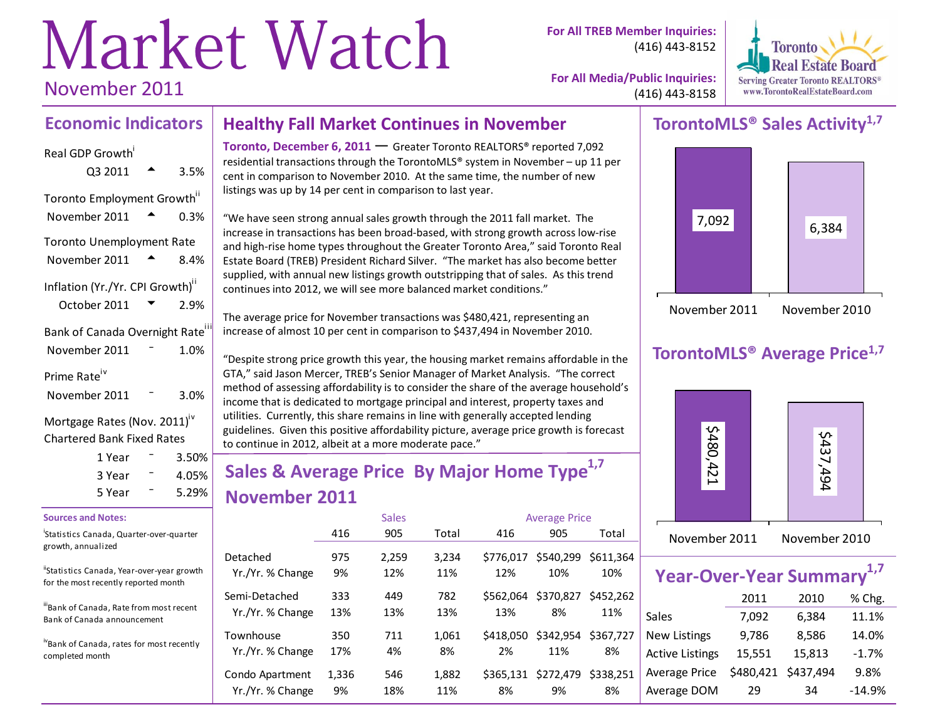# Market Watch November 2011

**For All TREB Member Inquiries:** (416) 443-8152



**For All Media/Public Inquiries:** (416) 443-8158

#### **Economic Indicators Healthy Fall Market Continues in November**

Real GDP Growth

| Q3 2011                                      | 3.5% |
|----------------------------------------------|------|
| Toronto Employment Growth"                   |      |
| November 2011                                | 0.3% |
| <b>Toronto Unemployment Rate</b>             |      |
| November 2011                                | 8.4% |
| Inflation (Yr./Yr. CPI Growth)"              |      |
| October 2011                                 | 2.9% |
| Bank of Canada Overnight Rate <sup>iii</sup> |      |
| November 2011                                | 1.0% |
| Prime Rate <sup>iv</sup>                     |      |
| November 2011                                | 3.0% |
| Mortgage Rates (Nov. 2011) <sup>iv</sup>     |      |

**Chartered Bank Fixed Rates** 

| 1 Year | $3.50\%$ |
|--------|----------|
| 3 Year | 4.05%    |
| 5 Year | 5.29%    |

#### **Sources and Notes:**

Statistics Canada, Quarter-over-quarter growth, annualized

"Statistics Canada, Year-over-year growth for the most recently reported month

illBank of Canada, Rate from most recent Bank of Canada announcement

ivBank of Canada, rates for most recently completed month

Toronto, December 6, 2011 - Greater Toronto REALTORS® reported 7,092 residential transactions through the TorontoMLS® system in November - up 11 per cent in comparison to November 2010. At the same time, the number of new listings was up by 14 per cent in comparison to last year.

"We have seen strong annual sales growth through the 2011 fall market. The increase in transactions has been broad-based, with strong growth across low-rise and high-rise home types throughout the Greater Toronto Area," said Toronto Real Estate Board (TREB) President Richard Silver. "The market has also become better supplied, with annual new listings growth outstripping that of sales. As this trend continues into 2012, we will see more balanced market conditions."

The average price for November transactions was \$480,421, representing an increase of almost 10 per cent in comparison to \$437,494 in November 2010.

"Despite strong price growth this year, the housing market remains affordable in the GTA," said Jason Mercer, TREB's Senior Manager of Market Analysis. "The correct method of assessing affordability is to consider the share of the average household's income that is dedicated to mortgage principal and interest, property taxes and utilities. Currently, this share remains in line with generally accepted lending guidelines. Given this positive affordability picture, average price growth is forecast to continue in 2012, albeit at a more moderate pace."

# Sales & Average Price By Major Home Type<sup>1,7</sup> November 2011

|                  |       | <b>Sales</b> |       |           | <b>Average Price</b> |           |  |  |  |
|------------------|-------|--------------|-------|-----------|----------------------|-----------|--|--|--|
|                  | 416   | 905          | Total | 416       | 905                  | Total     |  |  |  |
| Detached         | 975   | 2,259        | 3,234 | \$776.017 | \$540,299            | \$611.364 |  |  |  |
| Yr./Yr. % Change | 9%    | 12%          | 11%   | 12%       | 10%                  | 10%       |  |  |  |
| Semi-Detached    | 333   | 449          | 782   | \$562.064 | \$370,827            | \$452.262 |  |  |  |
| Yr./Yr. % Change | 13%   | 13%          | 13%   | 13%       | 8%                   | 11%       |  |  |  |
| Townhouse        | 350   | 711          | 1,061 | \$418,050 | \$342,954            | \$367.727 |  |  |  |
| Yr./Yr. % Change | 17%   | 4%           | 8%    | 2%        | 11%                  | 8%        |  |  |  |
| Condo Apartment  | 1,336 | 546          | 1,882 | \$365.131 | \$272,479            | \$338.251 |  |  |  |
| Yr./Yr. % Change | 9%    | 18%          | 11%   | 8%        | 9%                   | 8%        |  |  |  |

## TorontoMLS<sup>®</sup> Sales Activity<sup>1,7</sup>



## **TorontoMLS<sup>®</sup> Average Price<sup>1,7</sup>**



| Year-Over-Year Summary <sup>1,7</sup> |        |                     |         |  |  |  |  |  |  |  |  |
|---------------------------------------|--------|---------------------|---------|--|--|--|--|--|--|--|--|
|                                       | 2011   | 2010                | % Chg.  |  |  |  |  |  |  |  |  |
| Sales                                 | 7,092  | 6,384               | 11.1%   |  |  |  |  |  |  |  |  |
| <b>New Listings</b>                   | 9,786  | 8,586               | 14.0%   |  |  |  |  |  |  |  |  |
| <b>Active Listings</b>                | 15,551 | 15,813              | $-1.7%$ |  |  |  |  |  |  |  |  |
| <b>Average Price</b>                  |        | \$480,421 \$437,494 | 9.8%    |  |  |  |  |  |  |  |  |

29

34

 $-14.9%$ 

Average DOM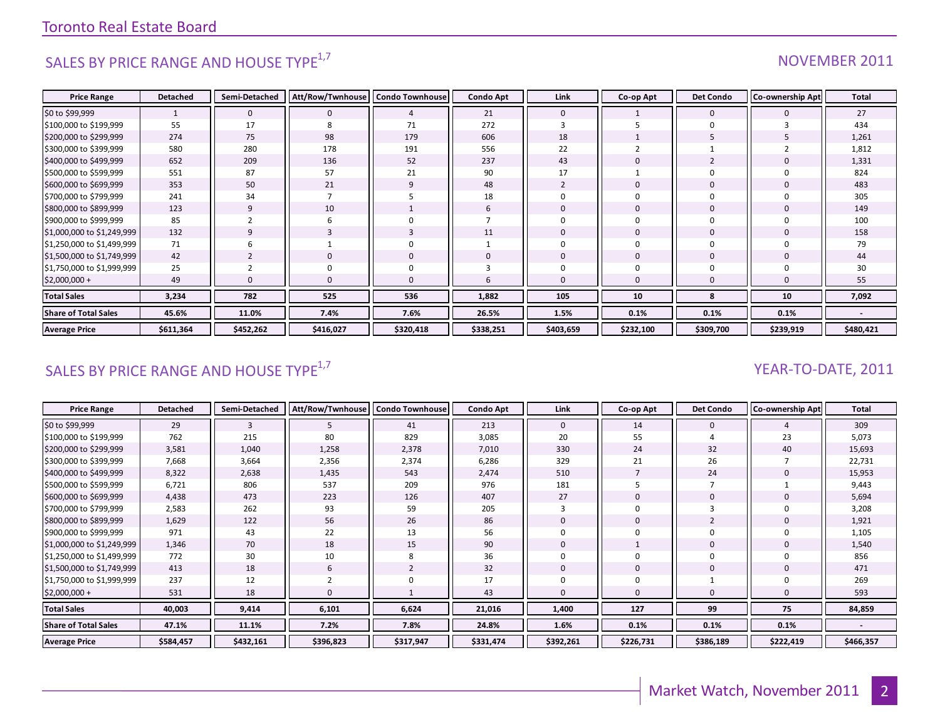# SALES BY PRICE RANGE AND HOUSE TYPE<sup>1,7</sup>

#### NOVEMBER 2011

| <b>Price Range</b>          | <b>Detached</b> | Semi-Detached  | Att/Row/Twnhouse | <b>Condo Townhouse</b> | <b>Condo Apt</b> | Link         | Co-op Apt    | <b>Det Condo</b> | <b>Co-ownership Apt</b> | Total     |
|-----------------------------|-----------------|----------------|------------------|------------------------|------------------|--------------|--------------|------------------|-------------------------|-----------|
| \$0 to \$99,999             |                 | $\Omega$       |                  | 4                      | 21               | $\mathbf{0}$ |              | $\mathbf{0}$     |                         | 27        |
| \$100,000 to \$199,999      | 55              | 17             | 8                | 71                     | 272              |              |              | $\Omega$         |                         | 434       |
| \$200,000 to \$299,999      | 274             | 75             | 98               | 179                    | 606              | 18           |              |                  |                         | 1,261     |
| \$300,000 to \$399,999      | 580             | 280            | 178              | 191                    | 556              | 22           |              |                  |                         | 1,812     |
| \$400,000 to \$499,999      | 652             | 209            | 136              | 52                     | 237              | 43           | $\mathbf{0}$ | 2                |                         | 1,331     |
| \$500,000 to \$599,999      | 551             | 87             | 57               | 21                     | 90               | 17           |              | $\Omega$         |                         | 824       |
| \$600,000 to \$699,999      | 353             | 50             | 21               | 9                      | 48               |              | $\mathbf{0}$ | $\mathbf 0$      |                         | 483       |
| \$700,000 to \$799,999      | 241             | 34             |                  |                        | 18               |              | 0            | 0                |                         | 305       |
| \$800,000 to \$899,999      | 123             | 9              | 10               |                        | b                | $\Omega$     | $\mathbf 0$  | $\mathbf 0$      |                         | 149       |
| \$900,000 to \$999,999      | 85              |                |                  | $\Omega$               |                  |              | 0            | 0                |                         | 100       |
| \$1,000,000 to \$1,249,999  | 132             | 9              |                  | 3                      | 11               | $\Omega$     | 0            | $\mathbf 0$      |                         | 158       |
| \$1,250,000 to \$1,499,999  | 71              | b              |                  | 0                      |                  |              | 0            | $\Omega$         | $\Omega$                | 79        |
| \$1,500,000 to \$1,749,999  | 42              | $\overline{2}$ | $\Omega$         | $\mathbf{0}$           | 0                | $\mathbf{0}$ | $\mathbf{0}$ | $\mathbf{0}$     | $\Omega$                | 44        |
| \$1,750,000 to \$1,999,999  | 25              |                |                  | 0                      |                  |              | $\Omega$     | $\Omega$         |                         | 30        |
| $$2,000,000 +$              | 49              |                |                  | $\Omega$               | h                | $\Omega$     | $\mathbf 0$  | $\Omega$         | $\Omega$                | 55        |
| <b>Total Sales</b>          | 3,234           | 782            | 525              | 536                    | 1,882            | 105          | 10           | 8                | 10                      | 7,092     |
| <b>Share of Total Sales</b> | 45.6%           | 11.0%          | 7.4%             | 7.6%                   | 26.5%            | 1.5%         | 0.1%         | 0.1%             | 0.1%                    |           |
| <b>Average Price</b>        | \$611,364       | \$452,262      | \$416,027        | \$320,418              | \$338,251        | \$403,659    | \$232,100    | \$309,700        | \$239,919               | \$480,421 |

## SALES BY PRICE RANGE AND HOUSE TYPE<sup>1,7</sup>

#### YEAR-TO-DATE, 2011

| <b>Price Range</b>          | <b>Detached</b> | Semi-Detached | Att/Row/Twnhouse | <b>Condo Townhouse</b> | <b>Condo Apt</b> | Link         | Co-op Apt | <b>Det Condo</b> | <b>Co-ownership Apt</b> | Total                    |
|-----------------------------|-----------------|---------------|------------------|------------------------|------------------|--------------|-----------|------------------|-------------------------|--------------------------|
| \$0 to \$99,999             | 29              | 3             | Ь                | 41                     | 213              | $\mathbf{0}$ | 14        | $\mathbf{0}$     |                         | 309                      |
| \$100,000 to \$199,999      | 762             | 215           | 80               | 829                    | 3,085            | 20           | 55        |                  | 23                      | 5,073                    |
| \$200,000 to \$299,999      | 3,581           | 1,040         | 1,258            | 2,378                  | 7,010            | 330          | 24        | 32               | 40                      | 15,693                   |
| \$300,000 to \$399,999      | 7,668           | 3,664         | 2,356            | 2,374                  | 6,286            | 329          | 21        | 26               |                         | 22,731                   |
| \$400,000 to \$499,999      | 8,322           | 2,638         | 1,435            | 543                    | 2,474            | 510          |           | 24               |                         | 15,953                   |
| \$500,000 to \$599,999      | 6,721           | 806           | 537              | 209                    | 976              | 181          |           |                  |                         | 9,443                    |
| \$600,000 to \$699,999      | 4,438           | 473           | 223              | 126                    | 407              | 27           | 0         | 0                |                         | 5,694                    |
| \$700,000 to \$799,999      | 2,583           | 262           | 93               | 59                     | 205              |              | 0         |                  |                         | 3,208                    |
| \$800,000 to \$899,999      | 1,629           | 122           | 56               | 26                     | 86               | $\Omega$     | 0         | 2                |                         | 1,921                    |
| \$900,000 to \$999,999      | 971             | 43            | 22               | 13                     | 56               |              | 0         | 0                |                         | 1,105                    |
| \$1,000,000 to \$1,249,999  | 1,346           | 70            | 18               | 15                     | 90               | $\mathbf{0}$ |           | 0                |                         | 1,540                    |
| \$1,250,000 to \$1,499,999  | 772             | 30            | 10               | 8                      | 36               | $\Omega$     | 0         | 0                |                         | 856                      |
| \$1,500,000 to \$1,749,999  | 413             | 18            | 6                | $\overline{2}$         | 32               | $\mathbf 0$  | 0         | $\mathbf{0}$     |                         | 471                      |
| \$1,750,000 to \$1,999,999  | 237             | 12            |                  | $\Omega$               | 17               | $\Omega$     | $\Omega$  |                  |                         | 269                      |
| $$2,000,000 +$              | 531             | 18            |                  |                        | 43               | $\mathbf 0$  | 0         | 0                |                         | 593                      |
| <b>Total Sales</b>          | 40,003          | 9,414         | 6,101            | 6,624                  | 21,016           | 1,400        | 127       | 99               | 75                      | 84,859                   |
| <b>Share of Total Sales</b> | 47.1%           | 11.1%         | 7.2%             | 7.8%                   | 24.8%            | 1.6%         | 0.1%      | 0.1%             | 0.1%                    | $\overline{\phantom{a}}$ |
| <b>Average Price</b>        | \$584,457       | \$432,161     | \$396,823        | \$317,947              | \$331,474        | \$392,261    | \$226,731 | \$386,189        | \$222,419               | \$466,357                |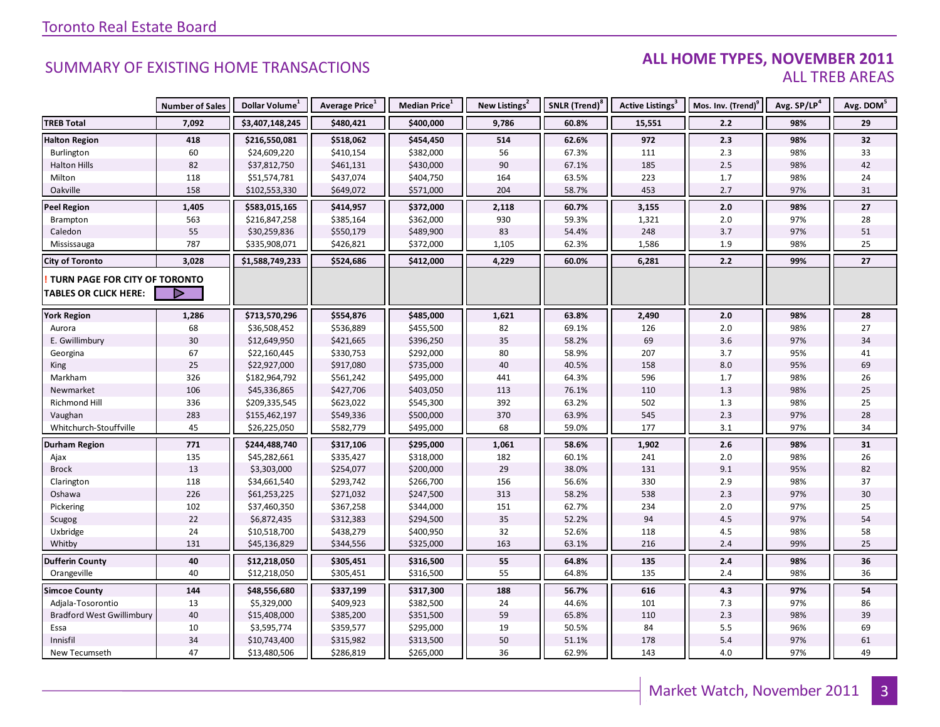#### ALL HOME TYPES, NOVEMBER 2011 **ALL TREB AREAS**

|                                      | <b>Number of Sales</b> | Dollar Volume <sup>1</sup> | Average Price <sup>1</sup> | Median Price <sup>1</sup> | New Listings <sup>2</sup> | SNLR (Trend) <sup>8</sup> | Active Listings <sup>3</sup> | Mos. Inv. (Trend) <sup>9</sup> | Avg. SP/LP <sup>4</sup> | Avg. DOM <sup>5</sup> |
|--------------------------------------|------------------------|----------------------------|----------------------------|---------------------------|---------------------------|---------------------------|------------------------------|--------------------------------|-------------------------|-----------------------|
| <b>TREB Total</b>                    | 7,092                  | \$3,407,148,245            | \$480,421                  | \$400,000                 | 9,786                     | 60.8%                     | 15,551                       | 2.2                            | 98%                     | 29                    |
| <b>Halton Region</b>                 | 418                    | \$216,550,081              | \$518,062                  | \$454,450                 | 514                       | 62.6%                     | 972                          | 2.3                            | 98%                     | 32                    |
| Burlington                           | 60                     | \$24,609,220               | \$410,154                  | \$382,000                 | 56                        | 67.3%                     | 111                          | 2.3                            | 98%                     | 33                    |
| <b>Halton Hills</b>                  | 82                     | \$37,812,750               | \$461,131                  | \$430,000                 | 90                        | 67.1%                     | 185                          | 2.5                            | 98%                     | 42                    |
| Milton                               | 118                    | \$51,574,781               | \$437,074                  | \$404,750                 | 164                       | 63.5%                     | 223                          | 1.7                            | 98%                     | 24                    |
| Oakville                             | 158                    | \$102,553,330              | \$649,072                  | \$571,000                 | 204                       | 58.7%                     | 453                          | 2.7                            | 97%                     | 31                    |
| <b>Peel Region</b>                   | 1,405                  | \$583,015,165              | \$414,957                  | \$372,000                 | 2,118                     | 60.7%                     | 3,155                        | 2.0                            | 98%                     | 27                    |
| Brampton                             | 563                    | \$216,847,258              | \$385,164                  | \$362,000                 | 930                       | 59.3%                     | 1,321                        | $2.0\,$                        | 97%                     | 28                    |
| Caledon                              | 55                     | \$30,259,836               | \$550,179                  | \$489,900                 | 83                        | 54.4%                     | 248                          | 3.7                            | 97%                     | 51                    |
| Mississauga                          | 787                    | \$335,908,071              | \$426,821                  | \$372,000                 | 1,105                     | 62.3%                     | 1,586                        | 1.9                            | 98%                     | 25                    |
| <b>City of Toronto</b>               | 3,028                  | \$1,588,749,233            | \$524,686                  | \$412,000                 | 4,229                     | 60.0%                     | 6,281                        | 2.2                            | 99%                     | 27                    |
| <b>TURN PAGE FOR CITY OF TORONTO</b> |                        |                            |                            |                           |                           |                           |                              |                                |                         |                       |
| <b>TABLES OR CLICK HERE:</b>         | ▷                      |                            |                            |                           |                           |                           |                              |                                |                         |                       |
| <b>York Region</b>                   | 1,286                  | \$713,570,296              | \$554,876                  | \$485,000                 | 1,621                     | 63.8%                     | 2,490                        | 2.0                            | 98%                     | 28                    |
| Aurora                               | 68                     | \$36,508,452               | \$536,889                  | \$455,500                 | 82                        | 69.1%                     | 126                          | 2.0                            | 98%                     | 27                    |
| E. Gwillimbury                       | $30\,$                 | \$12,649,950               | \$421,665                  | \$396,250                 | 35                        | 58.2%                     | 69                           | $3.6\,$                        | 97%                     | 34                    |
| Georgina                             | 67                     | \$22,160,445               | \$330,753                  | \$292,000                 | 80                        | 58.9%                     | 207                          | 3.7                            | 95%                     | 41                    |
| King                                 | 25                     | \$22,927,000               | \$917,080                  | \$735,000                 | 40                        | 40.5%                     | 158                          | 8.0                            | 95%                     | 69                    |
| Markham                              | 326                    | \$182,964,792              | \$561,242                  | \$495,000                 | 441                       | 64.3%                     | 596                          | 1.7                            | 98%                     | 26                    |
| Newmarket                            | 106                    | \$45,336,865               | \$427,706                  | \$403,050                 | 113                       | 76.1%                     | 110                          | 1.3                            | 98%                     | 25                    |
| Richmond Hill                        | 336                    | \$209,335,545              | \$623,022                  | \$545,300                 | 392                       | 63.2%                     | 502                          | 1.3                            | 98%                     | 25                    |
| Vaughan                              | 283                    | \$155,462,197              | \$549,336                  | \$500,000                 | 370                       | 63.9%                     | 545                          | 2.3                            | 97%                     | 28                    |
| Whitchurch-Stouffville               | 45                     | \$26,225,050               | \$582,779                  | \$495,000                 | 68                        | 59.0%                     | 177                          | 3.1                            | 97%                     | 34                    |
| <b>Durham Region</b>                 | 771                    | \$244,488,740              | \$317,106                  | \$295,000                 | 1,061                     | 58.6%                     | 1,902                        | 2.6                            | 98%                     | 31                    |
| Ajax                                 | 135                    | \$45,282,661               | \$335,427                  | \$318,000                 | 182                       | 60.1%                     | 241                          | 2.0                            | 98%                     | 26                    |
| <b>Brock</b>                         | 13                     | \$3,303,000                | \$254,077                  | \$200,000                 | 29                        | 38.0%                     | 131                          | 9.1                            | 95%                     | 82                    |
| Clarington                           | 118                    | \$34,661,540               | \$293,742                  | \$266,700                 | 156                       | 56.6%                     | 330                          | 2.9                            | 98%                     | 37                    |
| Oshawa                               | 226                    | \$61,253,225               | \$271,032                  | \$247,500                 | 313                       | 58.2%                     | 538                          | 2.3                            | 97%                     | $30\,$                |
| Pickering                            | 102                    | \$37,460,350               | \$367,258                  | \$344,000                 | 151                       | 62.7%                     | 234                          | $2.0\,$                        | 97%                     | 25                    |
| Scugog                               | 22                     | \$6,872,435                | \$312,383                  | \$294,500                 | 35                        | 52.2%                     | 94                           | 4.5                            | 97%                     | 54                    |
| Uxbridge                             | 24                     | \$10,518,700               | \$438,279                  | \$400,950                 | 32                        | 52.6%                     | 118                          | 4.5                            | 98%                     | 58                    |
| Whitby                               | 131                    | \$45,136,829               | \$344,556                  | \$325,000                 | 163                       | 63.1%                     | 216                          | 2.4                            | 99%                     | 25                    |
| <b>Dufferin County</b>               | 40                     | \$12,218,050               | \$305,451                  | \$316,500                 | 55                        | 64.8%                     | 135                          | $2.4\,$                        | 98%                     | 36                    |
| Orangeville                          | 40                     | \$12,218,050               | \$305,451                  | \$316,500                 | 55                        | 64.8%                     | 135                          | 2.4                            | 98%                     | 36                    |
| <b>Simcoe County</b>                 | 144                    | \$48,556,680               | \$337,199                  | \$317,300                 | 188                       | 56.7%                     | 616                          | 4.3                            | 97%                     | 54                    |
| Adjala-Tosorontio                    | 13                     | \$5,329,000                | \$409,923                  | \$382,500                 | 24                        | 44.6%                     | 101                          | 7.3                            | 97%                     | 86                    |
| <b>Bradford West Gwillimbury</b>     | 40                     | \$15,408,000               | \$385,200                  | \$351,500                 | 59                        | 65.8%                     | 110                          | 2.3                            | 98%                     | 39                    |
| Essa                                 | 10                     | \$3,595,774                | \$359,577                  | \$295,000                 | 19                        | 50.5%                     | 84                           | 5.5                            | 96%                     | 69                    |
| Innisfil                             | 34                     | \$10,743,400               | \$315,982                  | \$313,500                 | 50                        | 51.1%                     | 178                          | 5.4                            | 97%                     | 61                    |
| New Tecumseth                        | 47                     | \$13,480,506               | \$286,819                  | \$265,000                 | 36                        | 62.9%                     | 143                          | 4.0                            | 97%                     | 49                    |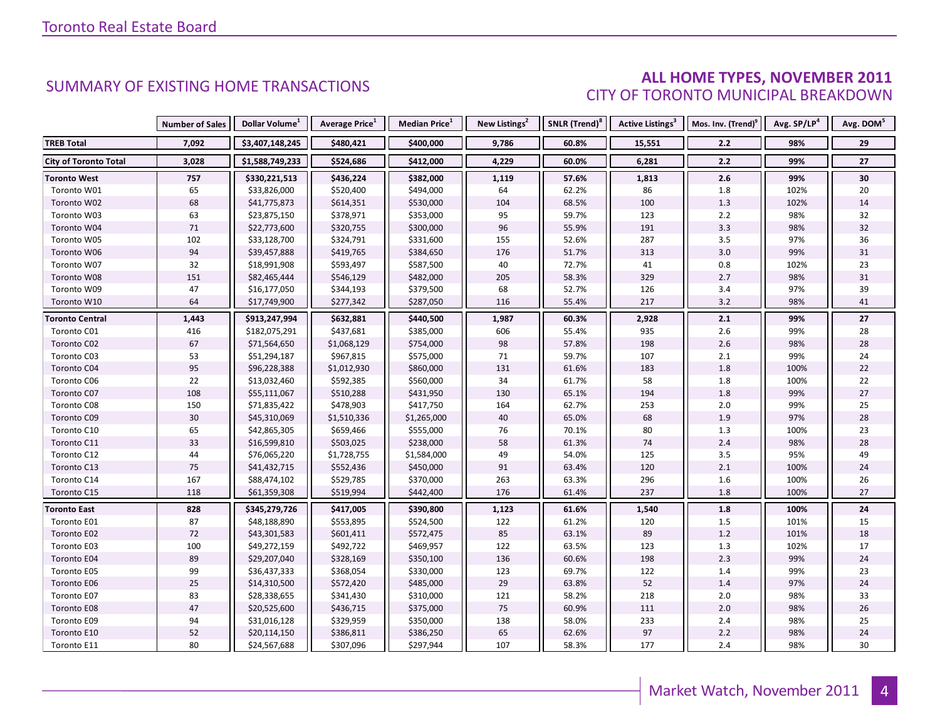# **ALL HOME TYPES, NOVEMBER 2011**<br>CITY OF TORONTO MUNICIPAL BREAKDOWN

|                              | <b>Number of Sales</b> | Dollar Volume <sup>1</sup> | <b>Average Price</b> <sup>1</sup> | <b>Median Price</b> <sup>1</sup> | New Listings <sup>2</sup> | SNLR (Trend) <sup>8</sup> | <b>Active Listings<sup>3</sup></b> | Mos. Inv. (Trend) | Avg. SP/LP <sup>4</sup> | Avg. DOM <sup>5</sup> |
|------------------------------|------------------------|----------------------------|-----------------------------------|----------------------------------|---------------------------|---------------------------|------------------------------------|-------------------|-------------------------|-----------------------|
| <b>TREB Total</b>            | 7,092                  | \$3,407,148,245            | \$480,421                         | \$400,000                        | 9,786                     | 60.8%                     | 15,551                             | 2.2               | 98%                     | 29                    |
| <b>City of Toronto Total</b> | 3,028                  | \$1,588,749,233            | \$524,686                         | \$412,000                        | 4,229                     | 60.0%                     | 6,281                              | 2.2               | 99%                     | 27                    |
| <b>Toronto West</b>          | 757                    | \$330,221,513              | \$436,224                         | \$382,000                        | 1,119                     | 57.6%                     | 1,813                              | 2.6               | 99%                     | 30                    |
| Toronto W01                  | 65                     | \$33,826,000               | \$520,400                         | \$494,000                        | 64                        | 62.2%                     | 86                                 | 1.8               | 102%                    | 20                    |
| Toronto W02                  | 68                     | \$41,775,873               | \$614,351                         | \$530,000                        | 104                       | 68.5%                     | 100                                | 1.3               | 102%                    | 14                    |
| Toronto W03                  | 63                     | \$23,875,150               | \$378,971                         | \$353,000                        | 95                        | 59.7%                     | 123                                | 2.2               | 98%                     | 32                    |
| Toronto W04                  | 71                     | \$22,773,600               | \$320,755                         | \$300,000                        | 96                        | 55.9%                     | 191                                | 3.3               | 98%                     | 32                    |
| Toronto W05                  | 102                    | \$33,128,700               | \$324,791                         | \$331,600                        | 155                       | 52.6%                     | 287                                | 3.5               | 97%                     | 36                    |
| Toronto W06                  | 94                     | \$39,457,888               | \$419,765                         | \$384,650                        | 176                       | 51.7%                     | 313                                | 3.0               | 99%                     | 31                    |
| Toronto W07                  | 32                     | \$18,991,908               | \$593,497                         | \$587,500                        | 40                        | 72.7%                     | 41                                 | 0.8               | 102%                    | 23                    |
| Toronto W08                  | 151                    | \$82,465,444               | \$546,129                         | \$482,000                        | 205                       | 58.3%                     | 329                                | 2.7               | 98%                     | 31                    |
| Toronto W09                  | 47                     | \$16,177,050               | \$344,193                         | \$379,500                        | 68                        | 52.7%                     | 126                                | 3.4               | 97%                     | 39                    |
| Toronto W10                  | 64                     | \$17,749,900               | \$277,342                         | \$287,050                        | 116                       | 55.4%                     | 217                                | 3.2               | 98%                     | 41                    |
| <b>Toronto Central</b>       | 1,443                  | \$913,247,994              | \$632,881                         | \$440,500                        | 1,987                     | 60.3%                     | 2,928                              | 2.1               | 99%                     | 27                    |
| Toronto C01                  | 416                    | \$182,075,291              | \$437,681                         | \$385,000                        | 606                       | 55.4%                     | 935                                | 2.6               | 99%                     | 28                    |
| Toronto C02                  | 67                     | \$71,564,650               | \$1,068,129                       | \$754,000                        | 98                        | 57.8%                     | 198                                | 2.6               | 98%                     | 28                    |
| Toronto C03                  | 53                     | \$51,294,187               | \$967,815                         | \$575,000                        | 71                        | 59.7%                     | 107                                | $2.1$             | 99%                     | 24                    |
| Toronto C04                  | 95                     | \$96,228,388               | \$1,012,930                       | \$860,000                        | 131                       | 61.6%                     | 183                                | 1.8               | 100%                    | 22                    |
| Toronto C06                  | 22                     | \$13,032,460               | \$592,385                         | \$560,000                        | 34                        | 61.7%                     | 58                                 | 1.8               | 100%                    | 22                    |
| Toronto C07                  | 108                    | \$55,111,067               | \$510,288                         | \$431,950                        | 130                       | 65.1%                     | 194                                | 1.8               | 99%                     | $27\,$                |
| Toronto C08                  | 150                    | \$71,835,422               | \$478,903                         | \$417,750                        | 164                       | 62.7%                     | 253                                | 2.0               | 99%                     | 25                    |
| Toronto C09                  | $30\,$                 | \$45,310,069               | \$1,510,336                       | \$1,265,000                      | 40                        | 65.0%                     | 68                                 | 1.9               | 97%                     | 28                    |
| Toronto C10                  | 65                     | \$42,865,305               | \$659,466                         | \$555,000                        | 76                        | 70.1%                     | 80                                 | 1.3               | 100%                    | 23                    |
| Toronto C11                  | 33                     | \$16,599,810               | \$503,025                         | \$238,000                        | 58                        | 61.3%                     | 74                                 | 2.4               | 98%                     | 28                    |
| Toronto C12                  | 44                     | \$76,065,220               | \$1,728,755                       | \$1,584,000                      | 49                        | 54.0%                     | 125                                | 3.5               | 95%                     | 49                    |
| Toronto C13                  | 75                     | \$41,432,715               | \$552,436                         | \$450,000                        | 91                        | 63.4%                     | 120                                | 2.1               | 100%                    | 24                    |
| Toronto C14                  | 167                    | \$88,474,102               | \$529,785                         | \$370,000                        | 263                       | 63.3%                     | 296                                | 1.6               | 100%                    | 26                    |
| Toronto C15                  | 118                    | \$61,359,308               | \$519,994                         | \$442,400                        | 176                       | 61.4%                     | 237                                | 1.8               | 100%                    | 27                    |
| <b>Toronto East</b>          | 828                    | \$345,279,726              | \$417,005                         | \$390,800                        | 1,123                     | 61.6%                     | 1,540                              | 1.8               | 100%                    | 24                    |
| Toronto E01                  | 87                     | \$48,188,890               | \$553,895                         | \$524,500                        | 122                       | 61.2%                     | 120                                | 1.5               | 101%                    | 15                    |
| Toronto E02                  | 72                     | \$43,301,583               | \$601,411                         | \$572,475                        | 85                        | 63.1%                     | 89                                 | 1.2               | 101%                    | 18                    |
| Toronto E03                  | 100                    | \$49,272,159               | \$492,722                         | \$469,957                        | 122                       | 63.5%                     | 123                                | $1.3$             | 102%                    | 17                    |
| Toronto E04                  | 89                     | \$29,207,040               | \$328,169                         | \$350,100                        | 136                       | 60.6%                     | 198                                | 2.3               | 99%                     | 24                    |
| Toronto E05                  | 99                     | \$36,437,333               | \$368,054                         | \$330,000                        | 123                       | 69.7%                     | 122                                | 1.4               | 99%                     | 23                    |
| Toronto E06                  | 25                     | \$14,310,500               | \$572,420                         | \$485,000                        | 29                        | 63.8%                     | 52                                 | 1.4               | 97%                     | 24                    |
| Toronto E07                  | 83                     | \$28,338,655               | \$341,430                         | \$310,000                        | 121                       | 58.2%                     | 218                                | 2.0               | 98%                     | 33                    |
| Toronto E08                  | 47                     | \$20,525,600               | \$436,715                         | \$375,000                        | 75                        | 60.9%                     | 111                                | $2.0$             | 98%                     | 26                    |
| Toronto E09                  | 94                     | \$31,016,128               | \$329,959                         | \$350,000                        | 138                       | 58.0%                     | 233                                | 2.4               | 98%                     | 25                    |
| Toronto E10                  | 52                     | \$20,114,150               | \$386,811                         | \$386,250                        | 65                        | 62.6%                     | 97                                 | $2.2$             | 98%                     | 24                    |
| Toronto E11                  | 80                     | \$24,567,688               | \$307,096                         | \$297,944                        | 107                       | 58.3%                     | 177                                | 2.4               | 98%                     | 30                    |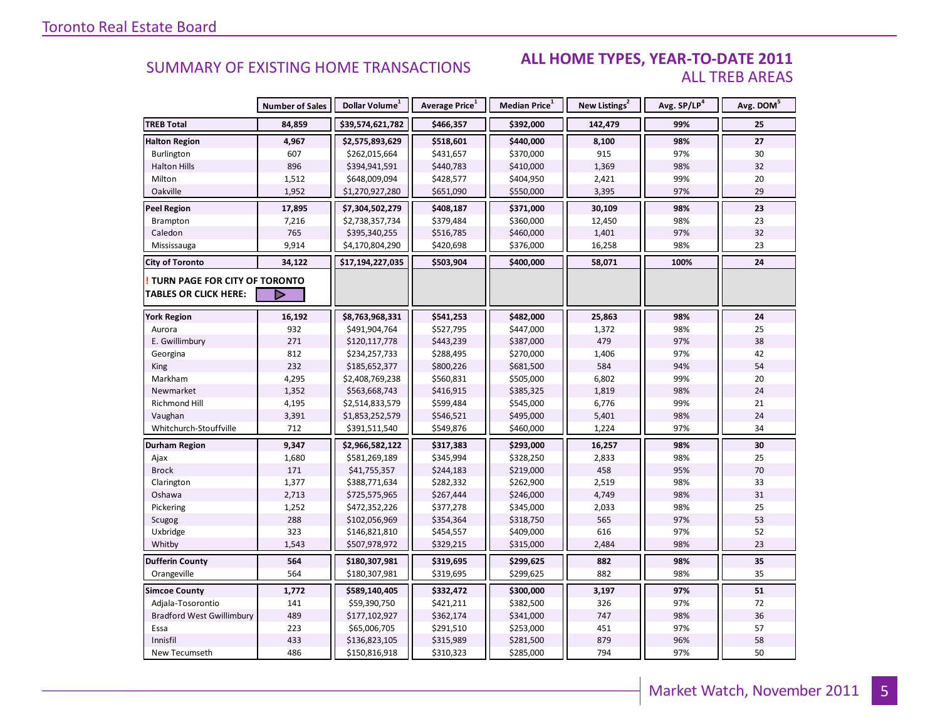#### ALL HOME TYPES, YEAR-TO-DATE 2011 **ALL TREB AREAS**

|                                  | <b>Number of Sales</b> | Dollar Volume <sup>1</sup> | <b>Average Price</b> <sup>1</sup> | Median Price <sup>1</sup> | New Listings <sup>2</sup> | Avg. SP/LP <sup>4</sup> | Avg. DOM <sup>5</sup> |
|----------------------------------|------------------------|----------------------------|-----------------------------------|---------------------------|---------------------------|-------------------------|-----------------------|
| <b>TREB Total</b>                | 84,859                 | \$39,574,621,782           | \$466,357                         | \$392,000                 | 142,479                   | 99%                     | 25                    |
| <b>Halton Region</b>             | 4,967                  | \$2,575,893,629            | \$518,601                         | \$440,000                 | 8,100                     | 98%                     | 27                    |
| Burlington                       | 607                    | \$262,015,664              | \$431,657                         | \$370,000                 | 915                       | 97%                     | 30                    |
| <b>Halton Hills</b>              | 896                    | \$394,941,591              | \$440,783                         | \$410,000                 | 1,369                     | 98%                     | 32                    |
| Milton                           | 1,512                  | \$648,009,094              | \$428,577                         | \$404,950                 | 2,421                     | 99%                     | 20                    |
| Oakville                         | 1,952                  | \$1,270,927,280            | \$651,090                         | \$550,000                 | 3,395                     | 97%                     | 29                    |
| <b>Peel Region</b>               | 17,895                 | \$7,304,502,279            | \$408,187                         | \$371,000                 | 30,109                    | 98%                     | 23                    |
| <b>Brampton</b>                  | 7,216                  | \$2,738,357,734            | \$379,484                         | \$360,000                 | 12,450                    | 98%                     | 23                    |
| Caledon                          | 765                    | \$395,340,255              | \$516,785                         | \$460,000                 | 1,401                     | 97%                     | 32                    |
| Mississauga                      | 9,914                  | \$4,170,804,290            | \$420,698                         | \$376,000                 | 16,258                    | 98%                     | 23                    |
| <b>City of Toronto</b>           | 34,122                 | \$17,194,227,035           | \$503,904                         | \$400,000                 | 58,071                    | 100%                    | 24                    |
| TURN PAGE FOR CITY OF TORONTO    |                        |                            |                                   |                           |                           |                         |                       |
| <b>TABLES OR CLICK HERE:</b>     | D                      |                            |                                   |                           |                           |                         |                       |
| <b>York Region</b>               | 16,192                 | \$8,763,968,331            | \$541,253                         | \$482,000                 | 25,863                    | 98%                     | 24                    |
| Aurora                           | 932                    | \$491,904,764              | \$527,795                         | \$447,000                 | 1,372                     | 98%                     | 25                    |
| E. Gwillimbury                   | 271                    | \$120,117,778              | \$443,239                         | \$387,000                 | 479                       | 97%                     | 38                    |
| Georgina                         | 812                    | \$234,257,733              | \$288,495                         | \$270,000                 | 1,406                     | 97%                     | 42                    |
| King                             | 232                    | \$185,652,377              | \$800,226                         | \$681,500                 | 584                       | 94%                     | 54                    |
| Markham                          | 4,295                  | \$2,408,769,238            | \$560,831                         | \$505,000                 | 6,802                     | 99%                     | 20                    |
| Newmarket                        | 1,352                  | \$563,668,743              | \$416,915                         | \$385,325                 | 1,819                     | 98%                     | 24                    |
| Richmond Hill                    | 4,195                  | \$2,514,833,579            | \$599,484                         | \$545,000                 | 6,776                     | 99%                     | 21                    |
| Vaughan                          | 3,391                  | \$1,853,252,579            | \$546,521                         | \$495,000                 | 5,401                     | 98%                     | 24                    |
| Whitchurch-Stouffville           | 712                    | \$391,511,540              | \$549,876                         | \$460,000                 | 1,224                     | 97%                     | 34                    |
| Durham Region                    | 9,347                  | \$2,966,582,122            | \$317,383                         | \$293,000                 | 16,257                    | 98%                     | 30                    |
| Ajax                             | 1,680                  | \$581,269,189              | \$345,994                         | \$328,250                 | 2,833                     | 98%                     | 25                    |
| <b>Brock</b>                     | 171                    | \$41,755,357               | \$244,183                         | \$219,000                 | 458                       | 95%                     | 70                    |
| Clarington                       | 1,377                  | \$388,771,634              | \$282,332                         | \$262,900                 | 2,519                     | 98%                     | 33                    |
| Oshawa                           | 2,713                  | \$725,575,965              | \$267,444                         | \$246,000                 | 4,749                     | 98%                     | 31                    |
| Pickering                        | 1,252                  | \$472,352,226              | \$377,278                         | \$345,000                 | 2,033                     | 98%                     | 25                    |
| Scugog                           | 288                    | \$102,056,969              | \$354,364                         | \$318,750                 | 565                       | 97%                     | 53                    |
| Uxbridge                         | 323                    | \$146,821,810              | \$454,557                         | \$409,000                 | 616                       | 97%                     | 52                    |
| Whitby                           | 1,543                  | \$507,978,972              | \$329,215                         | \$315,000                 | 2,484                     | 98%                     | 23                    |
| <b>Dufferin County</b>           | 564                    | \$180,307,981              | \$319,695                         | \$299,625                 | 882                       | 98%                     | 35                    |
| Orangeville                      | 564                    | \$180,307,981              | \$319,695                         | \$299,625                 | 882                       | 98%                     | 35                    |
| <b>Simcoe County</b>             | 1,772                  | \$589,140,405              | \$332,472                         | \$300,000                 | 3,197                     | 97%                     | 51                    |
| Adjala-Tosorontio                | 141                    | \$59,390,750               | \$421,211                         | \$382,500                 | 326                       | 97%                     | 72                    |
| <b>Bradford West Gwillimbury</b> | 489                    | \$177,102,927              | \$362,174                         | \$341,000                 | 747                       | 98%                     | 36                    |
| Essa                             | 223                    | \$65,006,705               | \$291,510                         | \$253,000                 | 451                       | 97%                     | 57                    |
| Innisfil                         | 433                    | \$136,823,105              | \$315,989                         | \$281,500                 | 879                       | 96%                     | 58                    |
| New Tecumseth                    | 486                    | \$150,816,918              | \$310,323                         | \$285,000                 | 794                       | 97%                     | 50                    |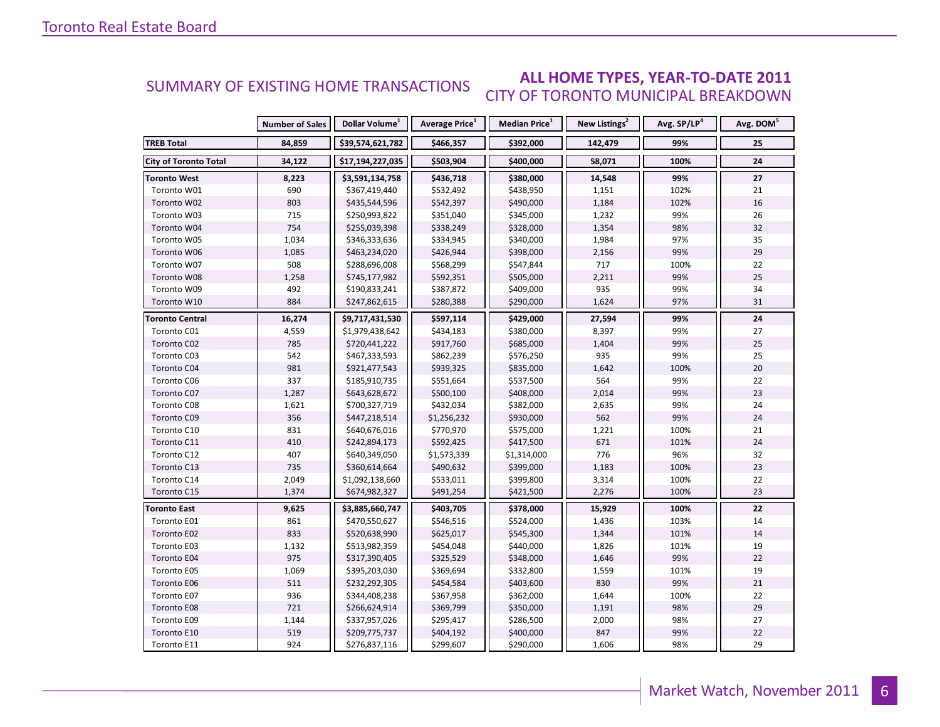#### ALL HOME TYPES, YEAR-TO-DATE 2011 SUMMARY OF EXISTING HOME TRANSACTIONS **CITY OF TORONTO MUNICIPAL BREAKDOWN**

|                              | <b>Number of Sales</b> | Dollar Volume <sup>1</sup> | Average Price <sup>1</sup> | Median Price <sup>1</sup> | New Listings <sup>2</sup> | Avg. SP/LP <sup>4</sup> | Avg. DOM <sup>5</sup> |
|------------------------------|------------------------|----------------------------|----------------------------|---------------------------|---------------------------|-------------------------|-----------------------|
| <b>TREB Total</b>            | 84,859                 | \$39,574,621,782           | \$466,357                  | \$392,000                 | 142,479                   | 99%                     | 25                    |
| <b>City of Toronto Total</b> | 34,122                 | \$17,194,227,035           | \$503,904                  | \$400,000                 | 58,071                    | 100%                    | 24                    |
| <b>Toronto West</b>          | 8,223                  | \$3,591,134,758            | \$436,718                  | \$380,000                 | 14,548                    | 99%                     | 27                    |
| Toronto W01                  | 690                    | \$367,419,440              | \$532,492                  | \$438,950                 | 1,151                     | 102%                    | 21                    |
| Toronto W02                  | 803                    | \$435,544,596              | \$542,397                  | \$490,000                 | 1,184                     | 102%                    | 16                    |
| Toronto W03                  | 715                    | \$250,993,822              | \$351,040                  | \$345,000                 | 1,232                     | 99%                     | 26                    |
| Toronto W04                  | 754                    | \$255,039,398              | \$338,249                  | \$328,000                 | 1,354                     | 98%                     | 32                    |
| Toronto W05                  | 1,034                  | \$346,333,636              | \$334,945                  | \$340,000                 | 1,984                     | 97%                     | 35                    |
| Toronto W06                  | 1,085                  | \$463,234,020              | \$426,944                  | \$398,000                 | 2,156                     | 99%                     | 29                    |
| Toronto W07                  | 508                    | \$288,696,008              | \$568,299                  | \$547,844                 | 717                       | 100%                    | 22                    |
| Toronto W08                  | 1,258                  | \$745,177,982              | \$592,351                  | \$505,000                 | 2,211                     | 99%                     | 25                    |
| Toronto W09                  | 492                    | \$190,833,241              | \$387,872                  | \$409,000                 | 935                       | 99%                     | 34                    |
| Toronto W10                  | 884                    | \$247,862,615              | \$280,388                  | \$290,000                 | 1,624                     | 97%                     | 31                    |
| Toronto Central              | 16,274                 | \$9,717,431,530            | \$597,114                  | \$429,000                 | 27,594                    | 99%                     | 24                    |
| Toronto C01                  | 4,559                  | \$1,979,438,642            | \$434,183                  | \$380,000                 | 8,397                     | 99%                     | 27                    |
| Toronto C02                  | 785                    | \$720,441,222              | \$917,760                  | \$685,000                 | 1,404                     | 99%                     | 25                    |
| Toronto C03                  | 542                    | \$467,333,593              | \$862,239                  | \$576,250                 | 935                       | 99%                     | 25                    |
| Toronto C04                  | 981                    | \$921,477,543              | \$939,325                  | \$835,000                 | 1,642                     | 100%                    | 20                    |
| Toronto C06                  | 337                    | \$185,910,735              | \$551,664                  | \$537,500                 | 564                       | 99%                     | 22                    |
| Toronto C07                  | 1,287                  | \$643,628,672              | \$500,100                  | \$408,000                 | 2,014                     | 99%                     | 23                    |
| Toronto C08                  | 1,621                  | \$700,327,719              | \$432,034                  | \$382,000                 | 2,635                     | 99%                     | 24                    |
| Toronto C09                  | 356                    | \$447,218,514              | \$1,256,232                | \$930,000                 | 562                       | 99%                     | 24                    |
| Toronto C10                  | 831                    | \$640,676,016              | \$770,970                  | \$575,000                 | 1,221                     | 100%                    | 21                    |
| Toronto C11                  | 410                    | \$242,894,173              | \$592,425                  | \$417,500                 | 671                       | 101%                    | 24                    |
| Toronto C12                  | 407                    | \$640,349,050              | \$1,573,339                | \$1,314,000               | 776                       | 96%                     | 32                    |
| Toronto C13                  | 735                    | \$360,614,664              | \$490,632                  | \$399,000                 | 1,183                     | 100%                    | 23                    |
| Toronto C14                  | 2,049                  | \$1,092,138,660            | \$533,011                  | \$399,800                 | 3,314                     | 100%                    | 22                    |
| Toronto C15                  | 1,374                  | \$674,982,327              | \$491,254                  | \$421,500                 | 2,276                     | 100%                    | 23                    |
| <b>Toronto East</b>          | 9,625                  | \$3,885,660,747            | \$403,705                  | \$378,000                 | 15,929                    | 100%                    | 22                    |
| Toronto E01                  | 861                    | \$470,550,627              | \$546,516                  | \$524,000                 | 1,436                     | 103%                    | 14                    |
| Toronto E02                  | 833                    | \$520,638,990              | \$625,017                  | \$545,300                 | 1,344                     | 101%                    | 14                    |
| Toronto E03                  | 1,132                  | \$513,982,359              | \$454,048                  | \$440,000                 | 1,826                     | 101%                    | 19                    |
| Toronto E04                  | 975                    | \$317,390,405              | \$325,529                  | \$348,000                 | 1,646                     | 99%                     | 22                    |
| Toronto E05                  | 1,069                  | \$395,203,030              | \$369,694                  | \$332,800                 | 1,559                     | 101%                    | 19                    |
| Toronto E06                  | 511                    | \$232,292,305              | \$454,584                  | \$403,600                 | 830                       | 99%                     | 21                    |
| Toronto E07                  | 936                    | \$344,408,238              | \$367,958                  | \$362,000                 | 1,644                     | 100%                    | 22                    |
| Toronto E08                  | 721                    | \$266,624,914              | \$369,799                  | \$350,000                 | 1,191                     | 98%                     | 29                    |
| Toronto E09                  | 1,144                  | \$337,957,026              | \$295,417                  | \$286,500                 | 2,000                     | 98%                     | 27                    |
| Toronto E10                  | 519                    | \$209,775,737              | \$404,192                  | \$400,000                 | 847                       | 99%                     | 22                    |
| Toronto E11                  | 924                    | \$276,837,116              | \$299,607                  | \$290,000                 | 1,606                     | 98%                     | 29                    |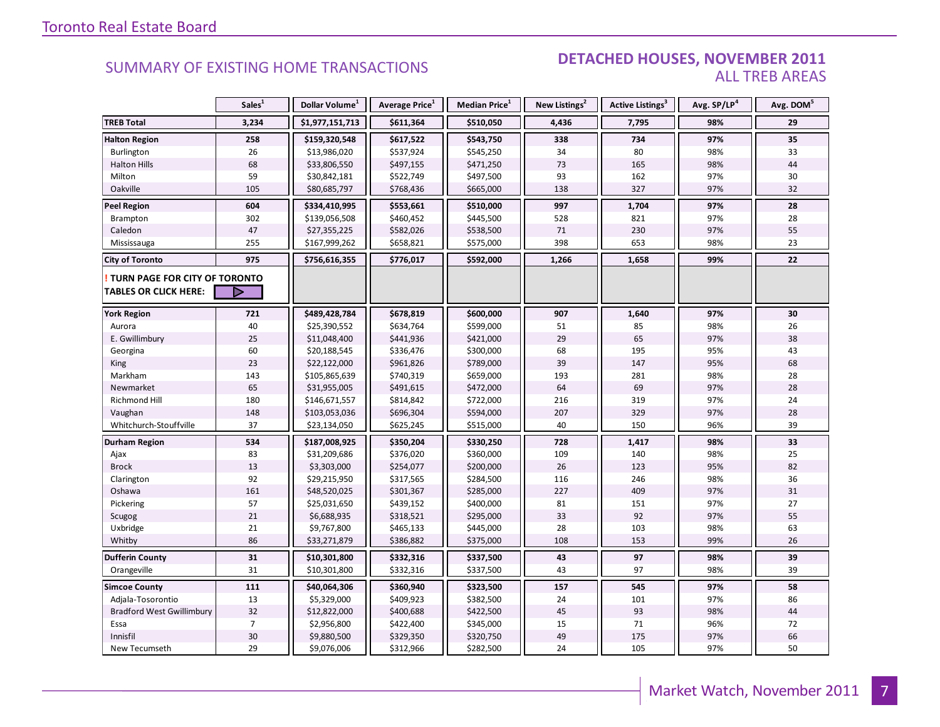#### **DETACHED HOUSES, NOVEMBER 2011 ALL TREB AREAS**

|                                                               | Sales <sup>1</sup> | Dollar Volume <sup>1</sup> | Average Price <sup>1</sup> | Median Price <sup>1</sup> | New Listings <sup>2</sup> | Active Listings <sup>3</sup> | Avg. SP/LP4 | Avg. DOM <sup>5</sup> |
|---------------------------------------------------------------|--------------------|----------------------------|----------------------------|---------------------------|---------------------------|------------------------------|-------------|-----------------------|
| <b>TREB Total</b>                                             | 3,234              | \$1,977,151,713            | \$611,364                  | \$510,050                 | 4,436                     | 7,795                        | 98%         | 29                    |
| <b>Halton Region</b>                                          | 258                | \$159,320,548              | \$617,522                  | \$543,750                 | 338                       | 734                          | 97%         | 35                    |
| Burlington                                                    | 26                 | \$13,986,020               | \$537,924                  | \$545,250                 | 34                        | 80                           | 98%         | 33                    |
| <b>Halton Hills</b>                                           | 68                 | \$33,806,550               | \$497,155                  | \$471,250                 | 73                        | 165                          | 98%         | 44                    |
| Milton                                                        | 59                 | \$30,842,181               | \$522,749                  | \$497,500                 | 93                        | 162                          | 97%         | 30                    |
| Oakville                                                      | 105                | \$80,685,797               | \$768,436                  | \$665,000                 | 138                       | 327                          | 97%         | 32                    |
| <b>Peel Region</b>                                            | 604                | \$334,410,995              | \$553,661                  | \$510,000                 | 997                       | 1,704                        | 97%         | 28                    |
| Brampton                                                      | 302                | \$139,056,508              | \$460,452                  | \$445,500                 | 528                       | 821                          | 97%         | 28                    |
| Caledon                                                       | 47                 | \$27,355,225               | \$582,026                  | \$538,500                 | 71                        | 230                          | 97%         | 55                    |
| Mississauga                                                   | 255                | \$167,999,262              | \$658,821                  | \$575,000                 | 398                       | 653                          | 98%         | 23                    |
| <b>City of Toronto</b>                                        | 975                | \$756,616,355              | \$776,017                  | \$592,000                 | 1,266                     | 1,658                        | 99%         | 22                    |
| TURN PAGE FOR CITY OF TORONTO<br><b>TABLES OR CLICK HERE:</b> | ▷                  |                            |                            |                           |                           |                              |             |                       |
|                                                               |                    |                            |                            |                           |                           |                              |             |                       |
| <b>York Region</b>                                            | 721                | \$489,428,784              | \$678,819                  | \$600,000                 | 907                       | 1,640                        | 97%         | 30                    |
| Aurora                                                        | 40                 | \$25,390,552               | \$634,764                  | \$599,000                 | 51                        | 85                           | 98%         | 26                    |
| E. Gwillimbury                                                | 25                 | \$11,048,400               | \$441,936                  | \$421,000                 | 29                        | 65                           | 97%         | 38                    |
| Georgina                                                      | 60                 | \$20,188,545               | \$336,476                  | \$300,000                 | 68                        | 195                          | 95%         | 43                    |
| King                                                          | 23                 | \$22,122,000               | \$961,826                  | \$789,000                 | 39                        | 147                          | 95%         | 68                    |
| Markham                                                       | 143                | \$105,865,639              | \$740,319                  | \$659,000                 | 193                       | 281                          | 98%         | 28                    |
| Newmarket                                                     | 65                 | \$31,955,005               | \$491,615                  | \$472,000                 | 64                        | 69                           | 97%         | 28                    |
| <b>Richmond Hill</b>                                          | 180                | \$146,671,557              | \$814,842                  | \$722,000                 | 216                       | 319                          | 97%         | 24                    |
| Vaughan                                                       | 148                | \$103,053,036              | \$696,304                  | \$594,000                 | 207                       | 329                          | 97%         | 28                    |
| Whitchurch-Stouffville                                        | 37                 | \$23,134,050               | \$625,245                  | \$515,000                 | 40                        | 150                          | 96%         | 39                    |
| <b>Durham Region</b>                                          | 534                | \$187,008,925              | \$350,204                  | \$330,250                 | 728                       | 1,417                        | 98%         | 33                    |
| Ajax                                                          | 83                 | \$31,209,686               | \$376,020                  | \$360,000                 | 109                       | 140                          | 98%         | 25                    |
| <b>Brock</b>                                                  | 13                 | \$3,303,000                | \$254,077                  | \$200,000                 | 26                        | 123                          | 95%         | 82                    |
| Clarington                                                    | 92                 | \$29,215,950               | \$317,565                  | \$284,500                 | 116                       | 246                          | 98%         | 36                    |
| Oshawa                                                        | 161                | \$48,520,025               | \$301,367                  | \$285,000                 | 227                       | 409                          | 97%         | 31                    |
| Pickering                                                     | 57                 | \$25,031,650               | \$439,152                  | \$400,000                 | 81                        | 151                          | 97%         | 27                    |
| Scugog                                                        | 21                 | \$6,688,935                | \$318,521                  | \$295,000                 | 33                        | 92                           | 97%         | 55                    |
| Uxbridge                                                      | 21                 | \$9,767,800                | \$465,133                  | \$445,000                 | 28                        | 103                          | 98%         | 63                    |
| Whitby                                                        | 86                 | \$33,271,879               | \$386,882                  | \$375,000                 | 108                       | 153                          | 99%         | 26                    |
| <b>Dufferin County</b>                                        | 31                 | \$10,301,800               | \$332,316                  | \$337,500                 | 43                        | 97                           | 98%         | 39                    |
| Orangeville                                                   | 31                 | \$10,301,800               | \$332,316                  | \$337,500                 | 43                        | 97                           | 98%         | 39                    |
| <b>Simcoe County</b>                                          | 111                | \$40,064,306               | \$360,940                  | \$323,500                 | 157                       | 545                          | 97%         | 58                    |
| Adjala-Tosorontio                                             | 13                 | \$5,329,000                | \$409,923                  | \$382,500                 | 24                        | 101                          | 97%         | 86                    |
| <b>Bradford West Gwillimbury</b>                              | 32                 | \$12,822,000               | \$400,688                  | \$422,500                 | 45                        | 93                           | 98%         | 44                    |
| Essa                                                          | $\overline{7}$     | \$2,956,800                | \$422,400                  | \$345,000                 | 15                        | 71                           | 96%         | 72                    |
| Innisfil                                                      | 30                 | \$9,880,500                | \$329,350                  | \$320,750                 | 49                        | 175                          | 97%         | 66                    |
| New Tecumseth                                                 | 29                 | \$9,076,006                | \$312,966                  | \$282,500                 | 24                        | 105                          | 97%         | 50                    |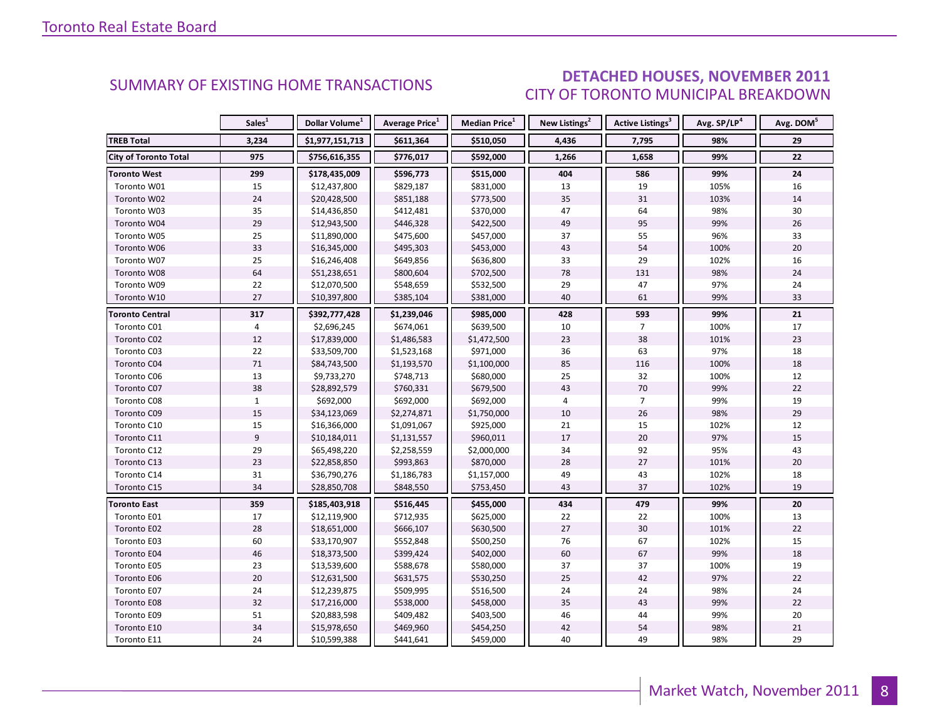### **DETACHED HOUSES, NOVEMBER 2011** CITY OF TORONTO MUNICIPAL BREAKDOWN

<span id="page-7-0"></span>

|                              | Sales <sup>1</sup> | Dollar Volume <sup>1</sup> | <b>Average Price</b> <sup>1</sup> | <b>Median Price</b> <sup>1</sup> | New Listings <sup>2</sup> | <b>Active Listings<sup>3</sup></b> | Avg. SP/LP <sup>4</sup> | Avg. DOM <sup>5</sup> |
|------------------------------|--------------------|----------------------------|-----------------------------------|----------------------------------|---------------------------|------------------------------------|-------------------------|-----------------------|
| <b>TREB Total</b>            | 3,234              | \$1,977,151,713            | \$611,364                         | \$510,050                        | 4,436                     | 7,795                              | 98%                     | 29                    |
| <b>City of Toronto Total</b> | 975                | \$756,616,355              | \$776,017                         | \$592,000                        | 1,266                     | 1,658                              | 99%                     | 22                    |
| <b>Toronto West</b>          | 299                | \$178,435,009              | \$596,773                         | \$515,000                        | 404                       | 586                                | 99%                     | 24                    |
| Toronto W01                  | 15                 | \$12,437,800               | \$829,187                         | \$831,000                        | 13                        | 19                                 | 105%                    | 16                    |
| Toronto W02                  | 24                 | \$20,428,500               | \$851,188                         | \$773,500                        | 35                        | 31                                 | 103%                    | 14                    |
| Toronto W03                  | 35                 | \$14,436,850               | \$412,481                         | \$370,000                        | 47                        | 64                                 | 98%                     | 30                    |
| Toronto W04                  | 29                 | \$12,943,500               | \$446,328                         | \$422,500                        | 49                        | 95                                 | 99%                     | 26                    |
| Toronto W05                  | 25                 | \$11,890,000               | \$475,600                         | \$457,000                        | 37                        | 55                                 | 96%                     | 33                    |
| Toronto W06                  | 33                 | \$16,345,000               | \$495,303                         | \$453,000                        | 43                        | 54                                 | 100%                    | 20                    |
| Toronto W07                  | 25                 | \$16,246,408               | \$649,856                         | \$636,800                        | 33                        | 29                                 | 102%                    | 16                    |
| Toronto W08                  | 64                 | \$51,238,651               | \$800,604                         | \$702,500                        | 78                        | 131                                | 98%                     | 24                    |
| Toronto W09                  | 22                 | \$12,070,500               | \$548,659                         | \$532,500                        | 29                        | 47                                 | 97%                     | 24                    |
| Toronto W10                  | 27                 | \$10,397,800               | \$385,104                         | \$381,000                        | 40                        | 61                                 | 99%                     | 33                    |
| <b>Toronto Central</b>       | 317                | \$392,777,428              | \$1,239,046                       | \$985,000                        | 428                       | 593                                | 99%                     | 21                    |
| Toronto C01                  | 4                  | \$2,696,245                | \$674,061                         | \$639,500                        | 10                        | $\overline{7}$                     | 100%                    | 17                    |
| Toronto C02                  | 12                 | \$17,839,000               | \$1,486,583                       | \$1,472,500                      | 23                        | 38                                 | 101%                    | 23                    |
| Toronto C03                  | 22                 | \$33,509,700               | \$1,523,168                       | \$971,000                        | 36                        | 63                                 | 97%                     | 18                    |
| Toronto C04                  | 71                 | \$84,743,500               | \$1,193,570                       | \$1,100,000                      | 85                        | 116                                | 100%                    | 18                    |
| Toronto C06                  | 13                 | \$9,733,270                | \$748,713                         | \$680,000                        | 25                        | 32                                 | 100%                    | 12                    |
| Toronto C07                  | 38                 | \$28,892,579               | \$760,331                         | \$679,500                        | 43                        | 70                                 | 99%                     | 22                    |
| Toronto C08                  | $\mathbf{1}$       | \$692,000                  | \$692,000                         | \$692,000                        | 4                         | $\overline{7}$                     | 99%                     | 19                    |
| Toronto C09                  | 15                 | \$34,123,069               | \$2,274,871                       | \$1,750,000                      | 10                        | 26                                 | 98%                     | 29                    |
| Toronto C10                  | 15                 | \$16,366,000               | \$1,091,067                       | \$925,000                        | 21                        | 15                                 | 102%                    | 12                    |
| Toronto C11                  | 9                  | \$10,184,011               | \$1,131,557                       | \$960,011                        | 17                        | 20                                 | 97%                     | 15                    |
| Toronto C12                  | 29                 | \$65,498,220               | \$2,258,559                       | \$2,000,000                      | 34                        | 92                                 | 95%                     | 43                    |
| Toronto C13                  | 23                 | \$22,858,850               | \$993,863                         | \$870,000                        | 28                        | 27                                 | 101%                    | 20                    |
| Toronto C14                  | 31                 | \$36,790,276               | \$1,186,783                       | \$1,157,000                      | 49                        | 43                                 | 102%                    | 18                    |
| Toronto C15                  | 34                 | \$28,850,708               | \$848,550                         | \$753,450                        | 43                        | 37                                 | 102%                    | 19                    |
| <b>Toronto East</b>          | 359                | \$185,403,918              | \$516,445                         | \$455,000                        | 434                       | 479                                | 99%                     | 20                    |
| Toronto E01                  | 17                 | \$12,119,900               | \$712,935                         | \$625,000                        | 22                        | 22                                 | 100%                    | 13                    |
| Toronto E02                  | 28                 | \$18,651,000               | \$666,107                         | \$630,500                        | $27\,$                    | 30                                 | 101%                    | 22                    |
| Toronto E03                  | 60                 | \$33,170,907               | \$552,848                         | \$500,250                        | 76                        | 67                                 | 102%                    | 15                    |
| Toronto E04                  | 46                 | \$18,373,500               | \$399,424                         | \$402,000                        | 60                        | 67                                 | 99%                     | 18                    |
| Toronto E05                  | 23                 | \$13,539,600               | \$588,678                         | \$580,000                        | 37                        | 37                                 | 100%                    | 19                    |
| Toronto E06                  | 20                 | \$12,631,500               | \$631,575                         | \$530,250                        | 25                        | 42                                 | 97%                     | 22                    |
| Toronto E07                  | 24                 | \$12,239,875               | \$509,995                         | \$516,500                        | 24                        | 24                                 | 98%                     | 24                    |
| Toronto E08                  | 32                 | \$17,216,000               | \$538,000                         | \$458,000                        | 35                        | 43                                 | 99%                     | 22                    |
| Toronto E09                  | 51                 | \$20,883,598               | \$409,482                         | \$403,500                        | 46                        | 44                                 | 99%                     | 20                    |
| Toronto E10                  | 34                 | \$15,978,650               | \$469,960                         | \$454,250                        | 42                        | 54                                 | 98%                     | 21                    |
| Toronto E11                  | 24                 | \$10,599,388               | \$441,641                         | \$459,000                        | 40                        | 49                                 | 98%                     | 29                    |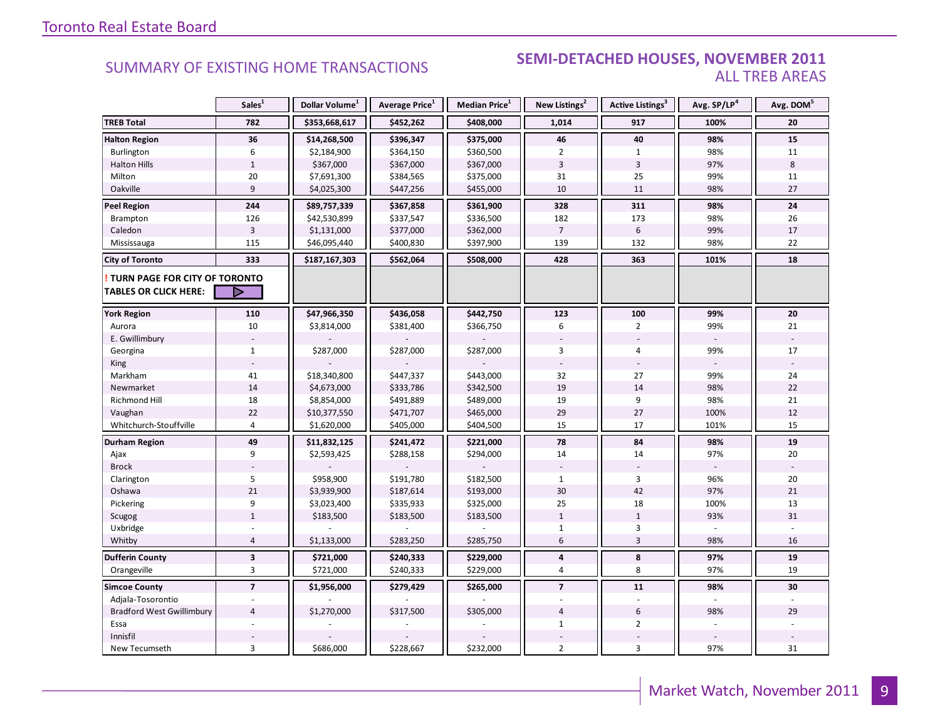#### SEMI-DETACHED HOUSES, NOVEMBER 2011 **ALL TREB AREAS**

|                                                               | Sales <sup>1</sup>      | Dollar Volume <sup>1</sup> | Average Price <sup>1</sup> | <b>Median Price</b> <sup>1</sup> | New Listings <sup>2</sup> | Active Listings <sup>3</sup> | Avg. SP/LP4 | Avg. DOM <sup>5</sup> |
|---------------------------------------------------------------|-------------------------|----------------------------|----------------------------|----------------------------------|---------------------------|------------------------------|-------------|-----------------------|
| <b>TREB Total</b>                                             | 782                     | \$353,668,617              | \$452,262                  | \$408,000                        | 1,014                     | 917                          | 100%        | 20                    |
| <b>Halton Region</b>                                          | 36                      | \$14,268,500               | \$396,347                  | \$375,000                        | 46                        | 40                           | 98%         | 15                    |
| Burlington                                                    | 6                       | \$2,184,900                | \$364,150                  | \$360,500                        | $\overline{2}$            | $\mathbf{1}$                 | 98%         | 11                    |
| <b>Halton Hills</b>                                           | $1\,$                   | \$367,000                  | \$367,000                  | \$367,000                        | $\overline{3}$            | $\overline{3}$               | 97%         | 8                     |
| Milton                                                        | 20                      | \$7,691,300                | \$384,565                  | \$375,000                        | 31                        | 25                           | 99%         | 11                    |
| Oakville                                                      | 9                       | \$4,025,300                | \$447,256                  | \$455,000                        | 10                        | 11                           | 98%         | 27                    |
| <b>Peel Region</b>                                            | 244                     | \$89,757,339               | \$367,858                  | \$361,900                        | 328                       | 311                          | 98%         | 24                    |
| Brampton                                                      | 126                     | \$42,530,899               | \$337,547                  | \$336,500                        | 182                       | 173                          | 98%         | 26                    |
| Caledon                                                       | $\overline{3}$          | \$1,131,000                | \$377,000                  | \$362,000                        | $\overline{7}$            | 6                            | 99%         | 17                    |
| Mississauga                                                   | 115                     | \$46,095,440               | \$400,830                  | \$397,900                        | 139                       | 132                          | 98%         | 22                    |
| <b>City of Toronto</b>                                        | 333                     | \$187,167,303              | \$562,064                  | \$508,000                        | 428                       | 363                          | 101%        | 18                    |
| TURN PAGE FOR CITY OF TORONTO<br><b>TABLES OR CLICK HERE:</b> | ▷                       |                            |                            |                                  |                           |                              |             |                       |
| <b>York Region</b>                                            | 110                     | \$47,966,350               | \$436,058                  | \$442,750                        | 123                       | 100                          | 99%         | 20                    |
| Aurora                                                        | 10                      | \$3,814,000                | \$381,400                  | \$366,750                        | 6                         | $\overline{2}$               | 99%         | 21                    |
| E. Gwillimbury                                                |                         |                            |                            |                                  |                           |                              |             |                       |
| Georgina                                                      | $\mathbf{1}$            | \$287,000                  | \$287,000                  | \$287,000                        | 3                         | 4                            | 99%         | 17                    |
| King                                                          |                         |                            |                            |                                  |                           |                              |             |                       |
| Markham                                                       | 41                      | \$18,340,800               | \$447,337                  | \$443,000                        | 32                        | 27                           | 99%         | 24                    |
| Newmarket                                                     | 14                      | \$4,673,000                | \$333,786                  | \$342,500                        | 19                        | 14                           | 98%         | 22                    |
| Richmond Hill                                                 | 18                      | \$8,854,000                | \$491,889                  | \$489,000                        | 19                        | 9                            | 98%         | 21                    |
| Vaughan                                                       | 22                      | \$10,377,550               | \$471,707                  | \$465,000                        | 29                        | 27                           | 100%        | 12                    |
| Whitchurch-Stouffville                                        | $\overline{4}$          | \$1,620,000                | \$405,000                  | \$404,500                        | 15                        | 17                           | 101%        | 15                    |
| <b>Durham Region</b>                                          | 49                      | \$11,832,125               | \$241,472                  | \$221,000                        | 78                        | 84                           | 98%         | 19                    |
| Ajax                                                          | 9                       | \$2,593,425                | \$288,158                  | \$294,000                        | 14                        | 14                           | 97%         | 20                    |
| <b>Brock</b>                                                  |                         |                            |                            |                                  |                           |                              |             |                       |
| Clarington                                                    | 5                       | \$958,900                  | \$191,780                  | \$182,500                        | $\mathbf{1}$              | $\overline{3}$               | 96%         | 20                    |
| Oshawa                                                        | 21                      | \$3,939,900                | \$187,614                  | \$193,000                        | 30                        | 42                           | 97%         | 21                    |
| Pickering                                                     | 9                       | \$3,023,400                | \$335,933                  | \$325,000                        | 25                        | 18                           | 100%        | 13                    |
| Scugog                                                        | $\mathbf{1}$            | \$183,500                  | \$183,500                  | \$183,500                        | $\mathbf{1}$              | $\mathbf{1}$                 | 93%         | 31                    |
| Uxbridge                                                      |                         |                            |                            |                                  | $\mathbf{1}$              | 3                            |             |                       |
| Whitby                                                        | $\overline{4}$          | \$1,133,000                | \$283,250                  | \$285,750                        | 6                         | $\mathbf{3}$                 | 98%         | 16                    |
| <b>Dufferin County</b>                                        | $\overline{\mathbf{3}}$ | \$721,000                  | \$240,333                  | \$229,000                        | 4                         | 8                            | 97%         | 19                    |
| Orangeville                                                   | 3                       | \$721,000                  | \$240,333                  | \$229,000                        | 4                         | 8                            | 97%         | 19                    |
| <b>Simcoe County</b>                                          | $\overline{7}$          | \$1,956,000                | \$279,429                  | \$265,000                        | $\overline{7}$            | 11                           | 98%         | 30                    |
| Adjala-Tosorontio                                             |                         |                            |                            |                                  |                           |                              |             |                       |
| <b>Bradford West Gwillimbury</b>                              | $\overline{4}$          | \$1,270,000                | \$317,500                  | \$305,000                        | $\overline{4}$            | $6\,$                        | 98%         | 29                    |
| Essa                                                          |                         |                            |                            |                                  | $\mathbf{1}$              | $\overline{2}$               |             |                       |
| Innisfil                                                      |                         |                            |                            |                                  |                           |                              |             |                       |
| New Tecumseth                                                 | $\overline{3}$          | \$686,000                  | \$228,667                  | \$232,000                        | $\overline{2}$            | $\overline{3}$               | 97%         | 31                    |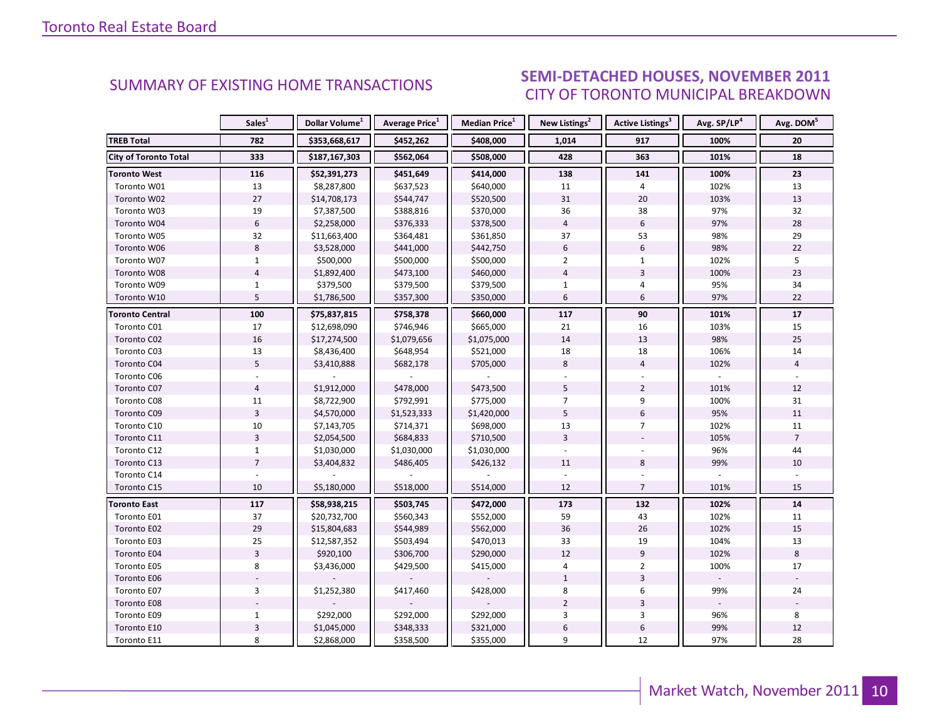#### SEMI-DETACHED HOUSES, NOVEMBER 2011 CITY OF TORONTO MUNICIPAL BREAKDOWN

<span id="page-9-0"></span>

|                              | Sales <sup>1</sup> | Dollar Volume <sup>1</sup> | <b>Average Price</b> <sup>1</sup> | Median Price <sup>1</sup> | New Listings <sup>2</sup> | Active Listings <sup>3</sup> | Avg. SP/LP <sup>4</sup> | Avg. DOM <sup>5</sup> |
|------------------------------|--------------------|----------------------------|-----------------------------------|---------------------------|---------------------------|------------------------------|-------------------------|-----------------------|
| <b>TREB Total</b>            | 782                | \$353,668,617              | \$452,262                         | \$408,000                 | 1,014                     | 917                          | 100%                    | 20                    |
| <b>City of Toronto Total</b> | 333                | \$187,167,303              | \$562,064                         | \$508,000                 | 428                       | 363                          | 101%                    | 18                    |
| <b>Toronto West</b>          | 116                | \$52,391,273               | \$451,649                         | \$414,000                 | 138                       | 141                          | 100%                    | 23                    |
| Toronto W01                  | 13                 | \$8,287,800                | \$637,523                         | \$640,000                 | 11                        | 4                            | 102%                    | 13                    |
| Toronto W02                  | 27                 | \$14,708,173               | \$544,747                         | \$520,500                 | 31                        | 20                           | 103%                    | 13                    |
| Toronto W03                  | 19                 | \$7,387,500                | \$388,816                         | \$370,000                 | 36                        | 38                           | 97%                     | 32                    |
| Toronto W04                  | $\sqrt{6}$         | \$2,258,000                | \$376,333                         | \$378,500                 | $\overline{4}$            | 6                            | 97%                     | 28                    |
| Toronto W05                  | 32                 | \$11,663,400               | \$364,481                         | \$361,850                 | 37                        | 53                           | 98%                     | 29                    |
| Toronto W06                  | 8                  | \$3,528,000                | \$441,000                         | \$442,750                 | 6                         | 6                            | 98%                     | 22                    |
| Toronto W07                  | $\mathbf{1}$       | \$500,000                  | \$500,000                         | \$500,000                 | $\overline{2}$            | $\mathbf{1}$                 | 102%                    | 5                     |
| Toronto W08                  | $\overline{4}$     | \$1,892,400                | \$473,100                         | \$460,000                 | $\overline{4}$            | $\overline{3}$               | 100%                    | 23                    |
| Toronto W09                  | $\mathbf{1}$       | \$379,500                  | \$379,500                         | \$379,500                 | $\mathbf{1}$              | 4                            | 95%                     | 34                    |
| Toronto W10                  | 5                  | \$1,786,500                | \$357,300                         | \$350,000                 | $6\overline{6}$           | 6                            | 97%                     | 22                    |
| <b>Toronto Central</b>       | 100                | \$75,837,815               | \$758,378                         | \$660,000                 | 117                       | 90                           | 101%                    | 17                    |
| Toronto C01                  | 17                 | \$12,698,090               | \$746,946                         | \$665,000                 | 21                        | 16                           | 103%                    | 15                    |
| Toronto C02                  | 16                 | \$17,274,500               | \$1,079,656                       | \$1,075,000               | 14                        | 13                           | 98%                     | 25                    |
| Toronto C03                  | 13                 | \$8,436,400                | \$648,954                         | \$521,000                 | 18                        | 18                           | 106%                    | 14                    |
| Toronto C04                  | 5                  | \$3,410,888                | \$682,178                         | \$705,000                 | 8                         | $\overline{4}$               | 102%                    | $\overline{4}$        |
| Toronto C06                  |                    |                            |                                   |                           |                           |                              |                         |                       |
| Toronto C07                  | $\overline{4}$     | \$1,912,000                | \$478,000                         | \$473,500                 | 5                         | $\overline{2}$               | 101%                    | 12                    |
| Toronto C08                  | 11                 | \$8,722,900                | \$792,991                         | \$775,000                 | $\overline{7}$            | 9                            | 100%                    | 31                    |
| Toronto C09                  | $\overline{3}$     | \$4,570,000                | \$1,523,333                       | \$1,420,000               | 5                         | 6                            | 95%                     | 11                    |
| Toronto C10                  | 10                 | \$7,143,705                | \$714,371                         | \$698,000                 | 13                        | $\overline{7}$               | 102%                    | 11                    |
| Toronto C11                  | $\overline{3}$     | \$2,054,500                | \$684,833                         | \$710,500                 | $\overline{3}$            |                              | 105%                    | $\overline{7}$        |
| Toronto C12                  | $\mathbf{1}$       | \$1,030,000                | \$1,030,000                       | \$1,030,000               |                           |                              | 96%                     | 44                    |
| Toronto C13                  | $\overline{7}$     | \$3,404,832                | \$486,405                         | \$426,132                 | 11                        | 8                            | 99%                     | 10                    |
| Toronto C14                  |                    |                            |                                   |                           |                           |                              |                         |                       |
| Toronto C15                  | 10                 | \$5,180,000                | \$518,000                         | \$514,000                 | 12                        | $\overline{7}$               | 101%                    | 15                    |
| <b>Toronto East</b>          | 117                | \$58,938,215               | \$503,745                         | \$472,000                 | 173                       | 132                          | 102%                    | 14                    |
| Toronto E01                  | 37                 | \$20,732,700               | \$560,343                         | \$552,000                 | 59                        | 43                           | 102%                    | 11                    |
| Toronto E02                  | 29                 | \$15,804,683               | \$544,989                         | \$562,000                 | 36                        | 26                           | 102%                    | 15                    |
| Toronto E03                  | 25                 | \$12,587,352               | \$503,494                         | \$470,013                 | 33                        | 19                           | 104%                    | 13                    |
| Toronto E04                  | $\overline{3}$     | \$920,100                  | \$306,700                         | \$290,000                 | 12                        | $\overline{9}$               | 102%                    | $\,8\,$               |
| Toronto E05                  | 8                  | \$3,436,000                | \$429,500                         | \$415,000                 | 4                         | $\overline{2}$               | 100%                    | 17                    |
| Toronto E06                  |                    |                            |                                   |                           | $\mathbf{1}$              | 3                            |                         |                       |
| Toronto E07                  | 3                  | \$1,252,380                | \$417,460                         | \$428,000                 | 8                         | 6                            | 99%                     | 24                    |
| Toronto E08                  |                    |                            |                                   |                           | $\overline{2}$            | 3                            |                         |                       |
| Toronto E09                  | $\mathbf{1}$       | \$292,000                  | \$292,000                         | \$292,000                 | 3                         | 3                            | 96%                     | 8                     |
| Toronto E10                  | $\overline{3}$     | \$1,045,000                | \$348,333                         | \$321,000                 | $\boldsymbol{6}$          | 6                            | 99%                     | 12                    |
| Toronto E11                  | 8                  | \$2,868,000                | \$358,500                         | \$355,000                 | 9                         | 12                           | 97%                     | 28                    |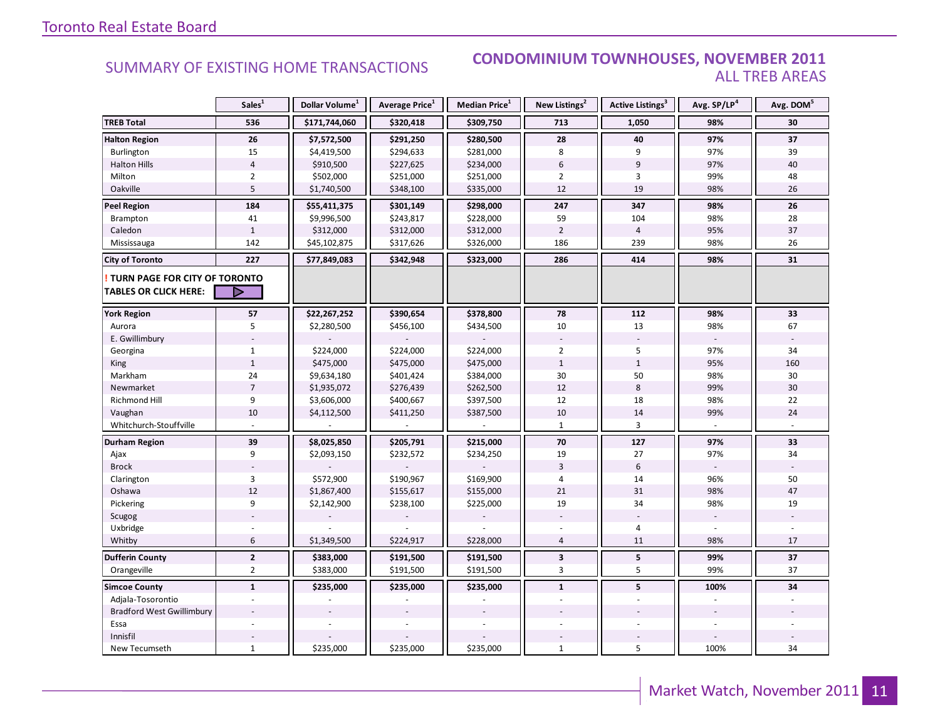#### **CONDOMINIUM TOWNHOUSES, NOVEMBER 2011 ALL TREB AREAS**

|                                                               | Sales <sup>1</sup> | Dollar Volume <sup>1</sup> | Average Price <sup>1</sup> | Median Price <sup>1</sup> | New Listings <sup>2</sup> | Active Listings <sup>3</sup> | Avg. SP/LP <sup>4</sup> | Avg. DOM <sup>5</sup> |
|---------------------------------------------------------------|--------------------|----------------------------|----------------------------|---------------------------|---------------------------|------------------------------|-------------------------|-----------------------|
| <b>TREB Total</b>                                             | 536                | \$171,744,060              | \$320,418                  | \$309,750                 | 713                       | 1,050                        | 98%                     | 30                    |
| <b>Halton Region</b>                                          | 26                 | \$7,572,500                | \$291,250                  | \$280,500                 | 28                        | 40                           | 97%                     | 37                    |
| Burlington                                                    | 15                 | \$4,419,500                | \$294,633                  | \$281,000                 | 8                         | 9                            | 97%                     | 39                    |
| <b>Halton Hills</b>                                           | $\overline{4}$     | \$910,500                  | \$227,625                  | \$234,000                 | $6\,$                     | $\overline{9}$               | 97%                     | 40                    |
| Milton                                                        | $\overline{2}$     | \$502,000                  | \$251,000                  | \$251,000                 | $\overline{2}$            | 3                            | 99%                     | 48                    |
| Oakville                                                      | 5                  | \$1,740,500                | \$348,100                  | \$335,000                 | 12                        | 19                           | 98%                     | 26                    |
| <b>Peel Region</b>                                            | 184                | \$55,411,375               | \$301,149                  | \$298,000                 | 247                       | 347                          | 98%                     | 26                    |
| Brampton                                                      | 41                 | \$9,996,500                | \$243,817                  | \$228,000                 | 59                        | 104                          | 98%                     | 28                    |
| Caledon                                                       | $\mathbf{1}$       | \$312,000                  | \$312,000                  | \$312,000                 | $\overline{2}$            | $\overline{4}$               | 95%                     | 37                    |
| Mississauga                                                   | 142                | \$45,102,875               | \$317,626                  | \$326,000                 | 186                       | 239                          | 98%                     | 26                    |
| <b>City of Toronto</b>                                        | 227                | \$77,849,083               | \$342,948                  | \$323,000                 | 286                       | 414                          | 98%                     | 31                    |
| TURN PAGE FOR CITY OF TORONTO<br><b>TABLES OR CLICK HERE:</b> | ▷                  |                            |                            |                           |                           |                              |                         |                       |
| <b>York Region</b>                                            | 57                 | \$22,267,252               | \$390,654                  | \$378,800                 | 78                        | 112                          | 98%                     | 33                    |
| Aurora                                                        | 5                  | \$2,280,500                | \$456,100                  | \$434,500                 | 10                        | 13                           | 98%                     | 67                    |
| E. Gwillimbury                                                |                    |                            |                            |                           |                           |                              |                         |                       |
| Georgina                                                      | 1                  | \$224,000                  | \$224,000                  | \$224,000                 | $\overline{2}$            | 5                            | 97%                     | 34                    |
| King                                                          | $\mathbf{1}$       | \$475,000                  | \$475,000                  | \$475,000                 | $1\,$                     | $\mathbf{1}$                 | 95%                     | 160                   |
| Markham                                                       | 24                 | \$9,634,180                | \$401,424                  | \$384,000                 | 30                        | 50                           | 98%                     | 30                    |
| Newmarket                                                     | $\overline{7}$     | \$1,935,072                | \$276,439                  | \$262,500                 | 12                        | $\bf 8$                      | 99%                     | 30                    |
| <b>Richmond Hill</b>                                          | 9                  | \$3,606,000                | \$400,667                  | \$397,500                 | 12                        | 18                           | 98%                     | 22                    |
| Vaughan                                                       | 10                 | \$4,112,500                | \$411,250                  | \$387,500                 | 10                        | 14                           | 99%                     | 24                    |
| Whitchurch-Stouffville                                        |                    |                            |                            |                           | $\mathbf{1}$              | 3                            |                         |                       |
| <b>Durham Region</b>                                          | 39                 | \$8,025,850                | \$205,791                  | \$215,000                 | 70                        | 127                          | 97%                     | 33                    |
| Ajax                                                          | 9                  | \$2,093,150                | \$232,572                  | \$234,250                 | 19                        | 27                           | 97%                     | 34                    |
| <b>Brock</b>                                                  |                    |                            |                            |                           | $\overline{3}$            | 6                            |                         |                       |
| Clarington                                                    | 3                  | \$572,900                  | \$190,967                  | \$169,900                 | $\overline{4}$            | 14                           | 96%                     | 50                    |
| Oshawa                                                        | 12                 | \$1,867,400                | \$155,617                  | \$155,000                 | 21                        | 31                           | 98%                     | 47                    |
| Pickering                                                     | 9                  | \$2,142,900                | \$238,100                  | \$225,000                 | 19                        | 34                           | 98%                     | 19                    |
| Scugog                                                        |                    |                            |                            |                           |                           |                              |                         |                       |
| Uxbridge                                                      |                    |                            |                            |                           |                           | 4                            |                         |                       |
| Whitby                                                        | 6                  | \$1,349,500                | \$224,917                  | \$228,000                 | $\overline{4}$            | 11                           | 98%                     | 17                    |
| <b>Dufferin County</b>                                        | $\mathbf{2}$       | \$383,000                  | \$191,500                  | \$191,500                 | $\mathbf{3}$              | ${\bf 5}$                    | 99%                     | 37                    |
| Orangeville                                                   | $\overline{2}$     | \$383,000                  | \$191,500                  | \$191,500                 | 3                         | 5                            | 99%                     | 37                    |
| <b>Simcoe County</b>                                          | $\mathbf{1}$       | \$235,000                  | \$235,000                  | \$235,000                 | $\mathbf{1}$              | 5                            | 100%                    | 34                    |
| Adjala-Tosorontio                                             |                    |                            |                            |                           |                           |                              |                         |                       |
| <b>Bradford West Gwillimbury</b>                              |                    |                            |                            |                           |                           |                              |                         |                       |
| Essa                                                          |                    |                            |                            |                           |                           |                              |                         |                       |
| Innisfil                                                      |                    |                            |                            |                           |                           |                              |                         |                       |
| New Tecumseth                                                 | $\mathbf{1}$       | \$235,000                  | \$235,000                  | \$235,000                 | $\mathbf{1}$              | 5                            | 100%                    | 34                    |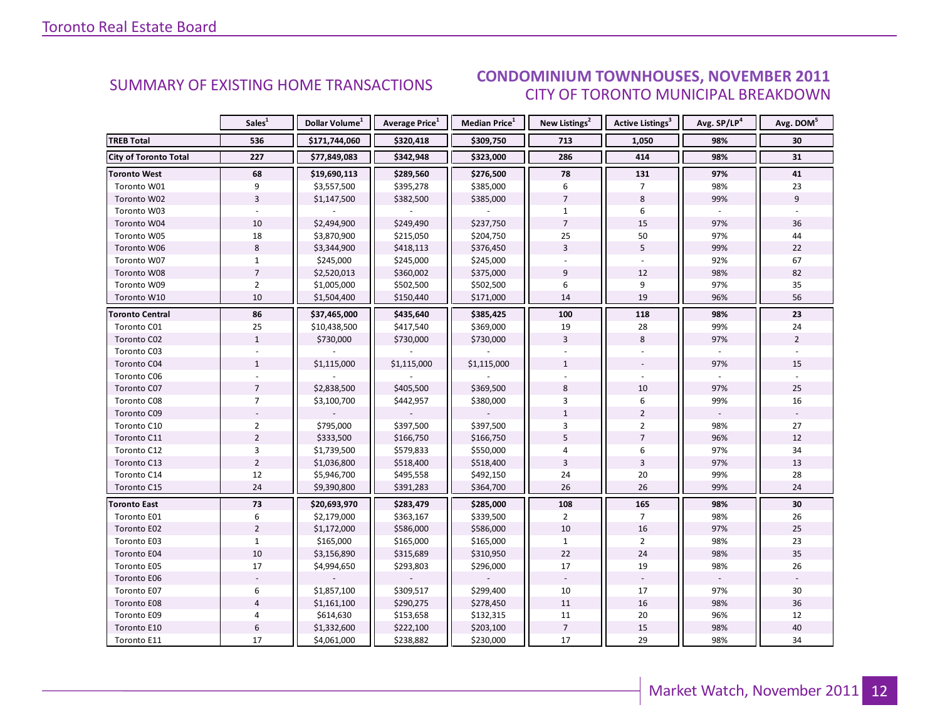#### **CONDOMINIUM TOWNHOUSES, NOVEMBER 2011 CITY OF TORONTO MUNICIPAL BREAKDOWN**

<span id="page-11-0"></span>

|                              | Sales <sup>1</sup> | Dollar Volume <sup>1</sup> | <b>Average Price</b> <sup>1</sup> | Median Price <sup>1</sup> | New Listings <sup>2</sup> | <b>Active Listings<sup>3</sup></b> | Avg. SP/LP <sup>4</sup> | Avg. DOM <sup>5</sup> |
|------------------------------|--------------------|----------------------------|-----------------------------------|---------------------------|---------------------------|------------------------------------|-------------------------|-----------------------|
| <b>TREB Total</b>            | 536                | \$171,744,060              | \$320,418                         | \$309,750                 | 713                       | 1,050                              | 98%                     | 30                    |
| <b>City of Toronto Total</b> | 227                | \$77,849,083               | \$342,948                         | \$323,000                 | 286                       | 414                                | 98%                     | 31                    |
| <b>Toronto West</b>          | 68                 | \$19,690,113               | \$289,560                         | \$276,500                 | 78                        | 131                                | 97%                     | 41                    |
| Toronto W01                  | 9                  | \$3,557,500                | \$395,278                         | \$385,000                 | 6                         | 7                                  | 98%                     | 23                    |
| Toronto W02                  | $\overline{3}$     | \$1,147,500                | \$382,500                         | \$385,000                 | $\overline{7}$            | 8                                  | 99%                     | 9                     |
| Toronto W03                  |                    |                            |                                   |                           | $\mathbf{1}$              | 6                                  |                         |                       |
| Toronto W04                  | 10                 | \$2,494,900                | \$249,490                         | \$237,750                 | $\overline{7}$            | 15                                 | 97%                     | 36                    |
| Toronto W05                  | 18                 | \$3,870,900                | \$215,050                         | \$204,750                 | 25                        | 50                                 | 97%                     | 44                    |
| Toronto W06                  | 8                  | \$3,344,900                | \$418,113                         | \$376,450                 | $\overline{3}$            | 5                                  | 99%                     | 22                    |
| Toronto W07                  | $\mathbf{1}$       | \$245,000                  | \$245,000                         | \$245,000                 |                           |                                    | 92%                     | 67                    |
| Toronto W08                  | $\overline{7}$     | \$2,520,013                | \$360,002                         | \$375,000                 | 9                         | 12                                 | 98%                     | 82                    |
| Toronto W09                  | $\overline{2}$     | \$1,005,000                | \$502,500                         | \$502,500                 | 6                         | 9                                  | 97%                     | 35                    |
| Toronto W10                  | 10                 | \$1,504,400                | \$150,440                         | \$171,000                 | 14                        | 19                                 | 96%                     | 56                    |
| <b>Toronto Central</b>       | 86                 | \$37,465,000               | \$435,640                         | \$385,425                 | 100                       | 118                                | 98%                     | 23                    |
| Toronto C01                  | 25                 | \$10,438,500               | \$417,540                         | \$369,000                 | 19                        | 28                                 | 99%                     | 24                    |
| Toronto C02                  | $1\,$              | \$730,000                  | \$730,000                         | \$730,000                 | $\overline{3}$            | 8                                  | 97%                     | $\overline{2}$        |
| Toronto C03                  |                    |                            |                                   |                           |                           |                                    |                         |                       |
| Toronto C04                  | $\mathbf{1}$       | \$1,115,000                | \$1,115,000                       | \$1,115,000               | $\mathbf{1}$              |                                    | 97%                     | 15                    |
| Toronto C06                  |                    |                            |                                   |                           |                           |                                    |                         |                       |
| Toronto C07                  | $\overline{7}$     | \$2,838,500                | \$405,500                         | \$369,500                 | 8                         | 10                                 | 97%                     | 25                    |
| Toronto C08                  | $\overline{7}$     | \$3,100,700                | \$442,957                         | \$380,000                 | 3                         | 6                                  | 99%                     | 16                    |
| Toronto C09                  |                    |                            |                                   |                           | $\mathbf{1}$              | $\overline{2}$                     |                         |                       |
| Toronto C10                  | $\overline{2}$     | \$795,000                  | \$397,500                         | \$397,500                 | 3                         | $\overline{2}$                     | 98%                     | 27                    |
| Toronto C11                  | $\overline{2}$     | \$333,500                  | \$166,750                         | \$166,750                 | 5                         | $\overline{7}$                     | 96%                     | 12                    |
| Toronto C12                  | 3                  | \$1,739,500                | \$579,833                         | \$550,000                 | 4                         | 6                                  | 97%                     | 34                    |
| Toronto C13                  | $\overline{2}$     | \$1,036,800                | \$518,400                         | \$518,400                 | $\overline{3}$            | $\overline{3}$                     | 97%                     | 13                    |
| Toronto C14                  | 12                 | \$5,946,700                | \$495,558                         | \$492,150                 | 24                        | 20                                 | 99%                     | 28                    |
| Toronto C15                  | 24                 | \$9,390,800                | \$391,283                         | \$364,700                 | 26                        | 26                                 | 99%                     | 24                    |
| <b>Toronto East</b>          | 73                 | \$20,693,970               | \$283,479                         | \$285,000                 | 108                       | 165                                | 98%                     | 30                    |
| Toronto E01                  | 6                  | \$2,179,000                | \$363,167                         | \$339,500                 | $\overline{2}$            | $\overline{7}$                     | 98%                     | 26                    |
| Toronto E02                  | $\overline{2}$     | \$1,172,000                | \$586,000                         | \$586,000                 | 10                        | 16                                 | 97%                     | 25                    |
| Toronto E03                  | $\mathbf{1}$       | \$165,000                  | \$165,000                         | \$165,000                 | $\mathbf{1}$              | $\overline{2}$                     | 98%                     | 23                    |
| Toronto E04                  | 10                 | \$3,156,890                | \$315,689                         | \$310,950                 | 22                        | 24                                 | 98%                     | 35                    |
| Toronto E05                  | 17                 | \$4,994,650                | \$293,803                         | \$296,000                 | 17                        | 19                                 | 98%                     | 26                    |
| Toronto E06                  |                    |                            |                                   |                           |                           |                                    |                         |                       |
| Toronto E07                  | 6                  | \$1,857,100                | \$309,517                         | \$299,400                 | 10                        | 17                                 | 97%                     | 30                    |
| Toronto E08                  | $\overline{4}$     | \$1,161,100                | \$290,275                         | \$278,450                 | 11                        | 16                                 | 98%                     | 36                    |
| Toronto E09                  | 4                  | \$614,630                  | \$153,658                         | \$132,315                 | 11                        | 20                                 | 96%                     | 12                    |
| Toronto E10                  | 6                  | \$1,332,600                | \$222,100                         | \$203,100                 | $\overline{7}$            | 15                                 | 98%                     | 40                    |
| Toronto E11                  | 17                 | \$4,061,000                | \$238,882                         | \$230,000                 | 17                        | 29                                 | 98%                     | 34                    |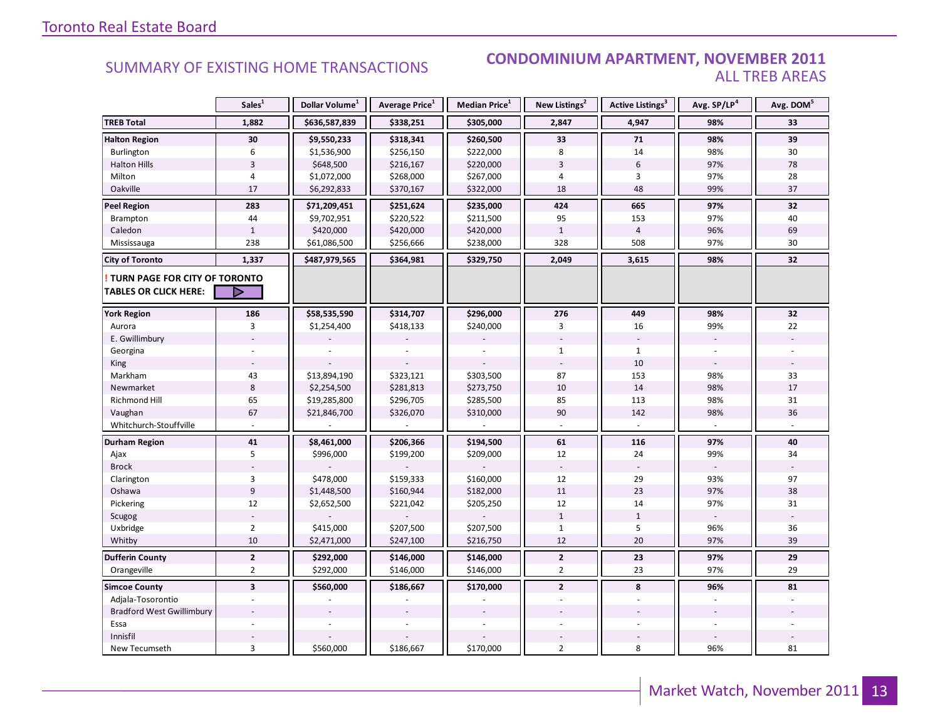#### **CONDOMINIUM APARTMENT, NOVEMBER 2011 ALL TREB AREAS**

|                                                               | Sales <sup>1</sup>      | Dollar Volume <sup>1</sup> | Average Price <sup>1</sup> | Median Price <sup>1</sup> | New Listings <sup>2</sup> | Active Listings <sup>3</sup> | Avg. SP/LP <sup>4</sup> | Avg. DOM <sup>5</sup> |
|---------------------------------------------------------------|-------------------------|----------------------------|----------------------------|---------------------------|---------------------------|------------------------------|-------------------------|-----------------------|
| <b>TREB Total</b>                                             | 1,882                   | \$636,587,839              | \$338,251                  | \$305,000                 | 2,847                     | 4,947                        | 98%                     | 33                    |
| <b>Halton Region</b>                                          | 30                      | \$9,550,233                | \$318,341                  | \$260,500                 | 33                        | 71                           | 98%                     | 39                    |
| Burlington                                                    | 6                       | \$1,536,900                | \$256,150                  | \$222,000                 | 8                         | 14                           | 98%                     | 30                    |
| <b>Halton Hills</b>                                           | $\overline{3}$          | \$648,500                  | \$216,167                  | \$220,000                 | $\overline{3}$            | $6\,$                        | 97%                     | 78                    |
| Milton                                                        | 4                       | \$1,072,000                | \$268,000                  | \$267,000                 | $\sqrt{4}$                | 3                            | 97%                     | 28                    |
| Oakville                                                      | 17                      | \$6,292,833                | \$370,167                  | \$322,000                 | 18                        | 48                           | 99%                     | 37                    |
| <b>Peel Region</b>                                            | 283                     | \$71,209,451               | \$251,624                  | \$235,000                 | 424                       | 665                          | 97%                     | 32                    |
| Brampton                                                      | 44                      | \$9,702,951                | \$220,522                  | \$211,500                 | 95                        | 153                          | 97%                     | 40                    |
| Caledon                                                       | $\mathbf{1}$            | \$420,000                  | \$420,000                  | \$420,000                 | $\mathbf{1}$              | $\overline{4}$               | 96%                     | 69                    |
| Mississauga                                                   | 238                     | \$61,086,500               | \$256,666                  | \$238,000                 | 328                       | 508                          | 97%                     | 30                    |
| <b>City of Toronto</b>                                        | 1,337                   | \$487,979,565              | \$364,981                  | \$329,750                 | 2,049                     | 3,615                        | 98%                     | 32                    |
| TURN PAGE FOR CITY OF TORONTO<br><b>TABLES OR CLICK HERE:</b> | ▶                       |                            |                            |                           |                           |                              |                         |                       |
| <b>York Region</b>                                            | 186                     | \$58,535,590               | \$314,707                  | \$296,000                 | 276                       | 449                          | 98%                     | 32                    |
| Aurora                                                        | 3                       | \$1,254,400                | \$418,133                  | \$240,000                 | 3                         | 16                           | 99%                     | 22                    |
| E. Gwillimbury                                                |                         |                            |                            |                           |                           |                              |                         |                       |
| Georgina                                                      |                         |                            |                            |                           | $\mathbf{1}$              | $\mathbf{1}$                 |                         |                       |
| King                                                          |                         |                            |                            |                           |                           | 10                           |                         |                       |
| Markham                                                       | 43                      | \$13,894,190               | \$323,121                  | \$303,500                 | 87                        | 153                          | 98%                     | 33                    |
| Newmarket                                                     | 8                       | \$2,254,500                | \$281,813                  | \$273,750                 | 10                        | 14                           | 98%                     | 17                    |
| Richmond Hill                                                 | 65                      | \$19,285,800               | \$296,705                  | \$285,500                 | 85                        | 113                          | 98%                     | 31                    |
| Vaughan                                                       | 67                      | \$21,846,700               | \$326,070                  | \$310,000                 | 90                        | 142                          | 98%                     | 36                    |
| Whitchurch-Stouffville                                        |                         |                            |                            |                           |                           |                              |                         |                       |
| Durham Region                                                 | 41                      | \$8,461,000                | \$206,366                  | \$194,500                 | 61                        | 116                          | 97%                     | 40                    |
| Ajax                                                          | 5                       | \$996,000                  | \$199,200                  | \$209,000                 | 12                        | 24                           | 99%                     | 34                    |
| <b>Brock</b>                                                  |                         |                            |                            |                           |                           |                              |                         |                       |
| Clarington                                                    | 3                       | \$478,000                  | \$159,333                  | \$160,000                 | 12                        | 29                           | 93%                     | 97                    |
| Oshawa                                                        | 9                       | \$1,448,500                | \$160,944                  | \$182,000                 | 11                        | 23                           | 97%                     | 38                    |
| Pickering                                                     | 12                      | \$2,652,500                | \$221,042                  | \$205,250                 | 12                        | 14                           | 97%                     | 31                    |
| Scugog                                                        |                         |                            |                            |                           | $\mathbf{1}$              | $\mathbf{1}$                 |                         |                       |
| Uxbridge                                                      | $\overline{2}$          | \$415,000                  | \$207,500                  | \$207,500                 | $\mathbf{1}$              | 5                            | 96%                     | 36                    |
| Whitby                                                        | 10                      | \$2,471,000                | \$247,100                  | \$216,750                 | 12                        | 20                           | 97%                     | 39                    |
| <b>Dufferin County</b>                                        | $\mathbf{2}$            | \$292,000                  | \$146,000                  | \$146,000                 | $\mathbf{2}$              | 23                           | 97%                     | 29                    |
| Orangeville                                                   | $\overline{2}$          | \$292,000                  | \$146,000                  | \$146,000                 | $\overline{2}$            | 23                           | 97%                     | 29                    |
| <b>Simcoe County</b>                                          | $\overline{\mathbf{3}}$ | \$560,000                  | \$186,667                  | \$170,000                 | $\mathbf{2}$              | 8                            | 96%                     | 81                    |
| Adjala-Tosorontio                                             |                         |                            |                            |                           |                           |                              |                         |                       |
| <b>Bradford West Gwillimbury</b>                              |                         |                            |                            |                           |                           |                              |                         |                       |
| Essa                                                          |                         |                            |                            |                           |                           |                              |                         |                       |
| Innisfil                                                      |                         |                            |                            |                           |                           |                              |                         |                       |
| New Tecumseth                                                 | 3                       | \$560,000                  | \$186,667                  | \$170,000                 | $\overline{2}$            | 8                            | 96%                     | 81                    |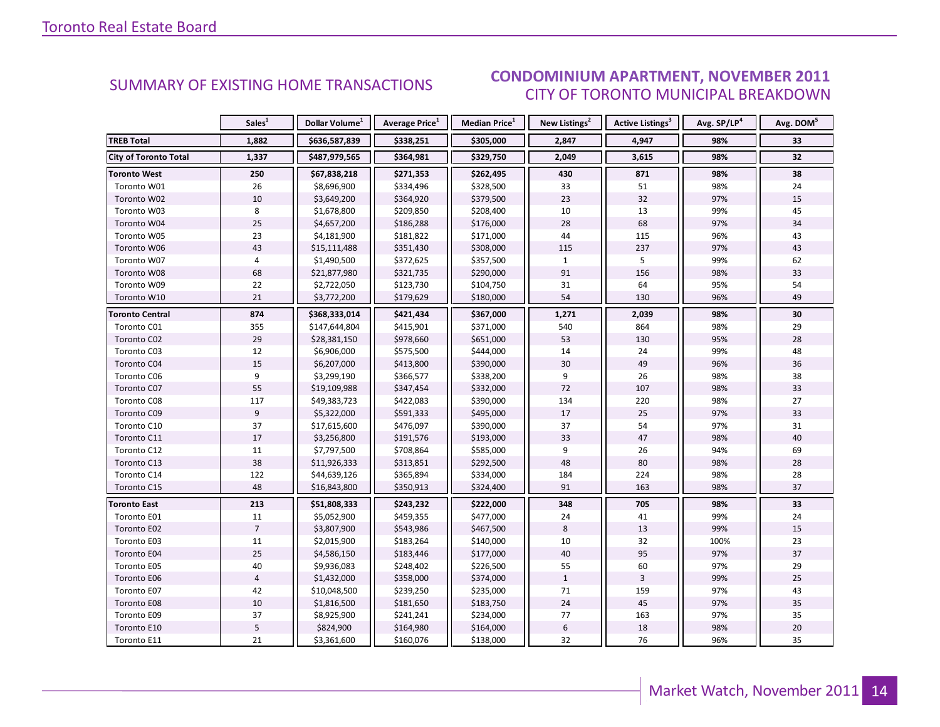#### **CONDOMINIUM APARTMENT, NOVEMBER 2011** CITY OF TORONTO MUNICIPAL BREAKDOWN

<span id="page-13-0"></span>

|                              | Sales <sup>1</sup> | Dollar Volume <sup>1</sup> | <b>Average Price</b> <sup>1</sup> | <b>Median Price</b> <sup>1</sup> | New Listings <sup>2</sup> | <b>Active Listings<sup>3</sup></b> | Avg. SP/LP <sup>4</sup> | Avg. DOM <sup>5</sup> |
|------------------------------|--------------------|----------------------------|-----------------------------------|----------------------------------|---------------------------|------------------------------------|-------------------------|-----------------------|
| <b>TREB Total</b>            | 1,882              | \$636,587,839              | \$338,251                         | \$305,000                        | 2,847                     | 4,947                              | 98%                     | 33                    |
| <b>City of Toronto Total</b> | 1,337              | \$487,979,565              | \$364,981                         | \$329,750                        | 2,049                     | 3,615                              | 98%                     | 32                    |
| <b>Toronto West</b>          | 250                | \$67,838,218               | \$271,353                         | \$262,495                        | 430                       | 871                                | 98%                     | 38                    |
| Toronto W01                  | 26                 | \$8,696,900                | \$334,496                         | \$328,500                        | 33                        | 51                                 | 98%                     | 24                    |
| Toronto W02                  | $10\,$             | \$3,649,200                | \$364,920                         | \$379,500                        | 23                        | 32                                 | 97%                     | 15                    |
| Toronto W03                  | 8                  | \$1,678,800                | \$209,850                         | \$208,400                        | 10                        | 13                                 | 99%                     | 45                    |
| Toronto W04                  | 25                 | \$4,657,200                | \$186,288                         | \$176,000                        | 28                        | 68                                 | 97%                     | 34                    |
| Toronto W05                  | 23                 | \$4,181,900                | \$181,822                         | \$171,000                        | 44                        | 115                                | 96%                     | 43                    |
| Toronto W06                  | 43                 | \$15,111,488               | \$351,430                         | \$308,000                        | 115                       | 237                                | 97%                     | 43                    |
| Toronto W07                  | $\overline{4}$     | \$1,490,500                | \$372,625                         | \$357,500                        | $\mathbf{1}$              | 5                                  | 99%                     | 62                    |
| Toronto W08                  | 68                 | \$21,877,980               | \$321,735                         | \$290,000                        | 91                        | 156                                | 98%                     | 33                    |
| Toronto W09                  | 22                 | \$2,722,050                | \$123,730                         | \$104,750                        | 31                        | 64                                 | 95%                     | 54                    |
| Toronto W10                  | 21                 | \$3,772,200                | \$179,629                         | \$180,000                        | 54                        | 130                                | 96%                     | 49                    |
| <b>Toronto Central</b>       | 874                | \$368,333,014              | \$421,434                         | \$367,000                        | 1,271                     | 2,039                              | 98%                     | 30                    |
| Toronto C01                  | 355                | \$147,644,804              | \$415,901                         | \$371,000                        | 540                       | 864                                | 98%                     | 29                    |
| Toronto C02                  | 29                 | \$28,381,150               | \$978,660                         | \$651,000                        | 53                        | 130                                | 95%                     | 28                    |
| Toronto C03                  | 12                 | \$6,906,000                | \$575,500                         | \$444,000                        | 14                        | 24                                 | 99%                     | 48                    |
| Toronto C04                  | 15                 | \$6,207,000                | \$413,800                         | \$390,000                        | 30                        | 49                                 | 96%                     | 36                    |
| Toronto C06                  | 9                  | \$3,299,190                | \$366,577                         | \$338,200                        | 9                         | 26                                 | 98%                     | 38                    |
| Toronto C07                  | 55                 | \$19,109,988               | \$347,454                         | \$332,000                        | 72                        | 107                                | 98%                     | 33                    |
| Toronto C08                  | 117                | \$49,383,723               | \$422,083                         | \$390,000                        | 134                       | 220                                | 98%                     | 27                    |
| Toronto C09                  | 9                  | \$5,322,000                | \$591,333                         | \$495,000                        | 17                        | 25                                 | 97%                     | 33                    |
| Toronto C10                  | 37                 | \$17,615,600               | \$476,097                         | \$390,000                        | 37                        | 54                                 | 97%                     | 31                    |
| Toronto C11                  | 17                 | \$3,256,800                | \$191,576                         | \$193,000                        | 33                        | 47                                 | 98%                     | 40                    |
| Toronto C12                  | 11                 | \$7,797,500                | \$708,864                         | \$585,000                        | 9                         | 26                                 | 94%                     | 69                    |
| Toronto C13                  | 38                 | \$11,926,333               | \$313,851                         | \$292,500                        | 48                        | 80                                 | 98%                     | 28                    |
| Toronto C14                  | 122                | \$44,639,126               | \$365,894                         | \$334,000                        | 184                       | 224                                | 98%                     | 28                    |
| Toronto C15                  | 48                 | \$16,843,800               | \$350,913                         | \$324,400                        | 91                        | 163                                | 98%                     | 37                    |
| <b>Toronto East</b>          | 213                | \$51,808,333               | \$243,232                         | \$222,000                        | 348                       | 705                                | 98%                     | 33                    |
| Toronto E01                  | 11                 | \$5,052,900                | \$459,355                         | \$477,000                        | 24                        | 41                                 | 99%                     | 24                    |
| Toronto E02                  | $\overline{7}$     | \$3,807,900                | \$543,986                         | \$467,500                        | 8                         | 13                                 | 99%                     | 15                    |
| Toronto E03                  | 11                 | \$2,015,900                | \$183,264                         | \$140,000                        | 10                        | 32                                 | 100%                    | 23                    |
| Toronto E04                  | 25                 | \$4,586,150                | \$183,446                         | \$177,000                        | 40                        | 95                                 | 97%                     | 37                    |
| Toronto E05                  | 40                 | \$9,936,083                | \$248,402                         | \$226,500                        | 55                        | 60                                 | 97%                     | 29                    |
| Toronto E06                  | $\overline{4}$     | \$1,432,000                | \$358,000                         | \$374,000                        | $\mathbf{1}$              | $\overline{3}$                     | 99%                     | 25                    |
| Toronto E07                  | 42                 | \$10,048,500               | \$239,250                         | \$235,000                        | 71                        | 159                                | 97%                     | 43                    |
| Toronto E08                  | $10\,$             | \$1,816,500                | \$181,650                         | \$183,750                        | 24                        | 45                                 | 97%                     | 35                    |
| Toronto E09                  | 37                 | \$8,925,900                | \$241,241                         | \$234,000                        | 77                        | 163                                | 97%                     | 35                    |
| Toronto E10                  | 5                  | \$824,900                  | \$164,980                         | \$164,000                        | $\sqrt{6}$                | $18\,$                             | 98%                     | 20                    |
| Toronto E11                  | 21                 | \$3,361,600                | \$160,076                         | \$138,000                        | 32                        | 76                                 | 96%                     | 35                    |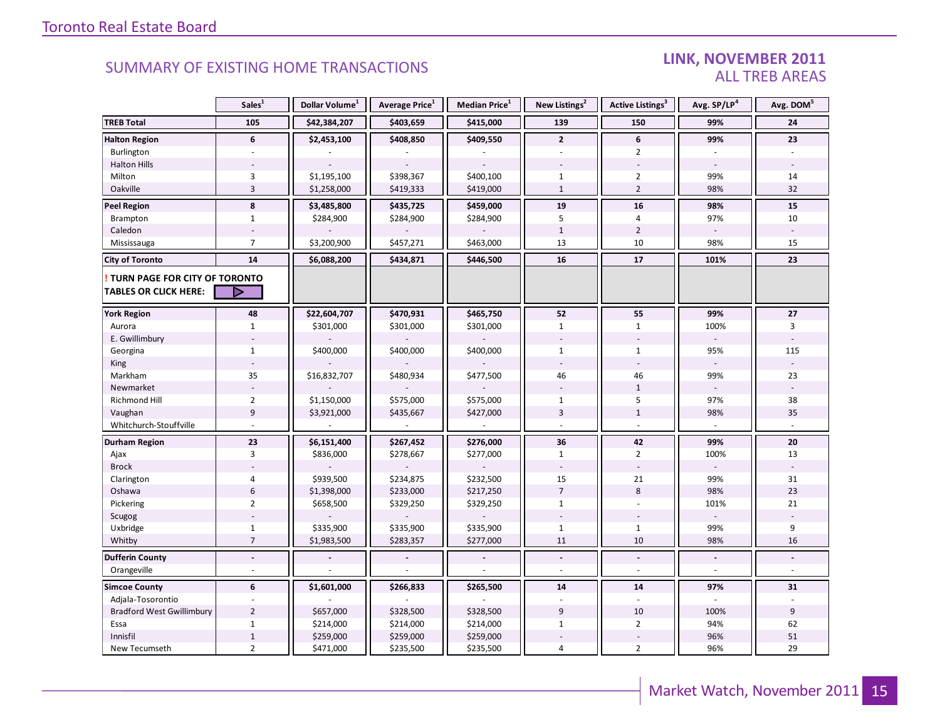#### LINK, NOVEMBER 2011 **ALL TREB AREAS**

|                                                               | Sales <sup>1</sup>       | Dollar Volume <sup>1</sup> | Average Price <sup>1</sup> | Median Price <sup>1</sup> | New Listings <sup>2</sup> | Active Listings <sup>3</sup> | Avg. SP/LP <sup>4</sup> | Avg. DOM <sup>5</sup> |
|---------------------------------------------------------------|--------------------------|----------------------------|----------------------------|---------------------------|---------------------------|------------------------------|-------------------------|-----------------------|
| <b>TREB Total</b>                                             | 105                      | \$42,384,207               | \$403,659                  | \$415,000                 | 139                       | 150                          | 99%                     | 24                    |
| <b>Halton Region</b>                                          | 6                        | \$2,453,100                | \$408,850                  | \$409,550                 | $\mathbf{2}$              | 6                            | 99%                     | 23                    |
| Burlington                                                    |                          |                            |                            |                           | $\overline{a}$            | $\overline{2}$               |                         |                       |
| <b>Halton Hills</b>                                           |                          |                            |                            |                           |                           |                              |                         |                       |
| Milton                                                        | 3                        | \$1,195,100                | \$398,367                  | \$400,100                 | $\mathbf{1}$              | $\overline{2}$               | 99%                     | 14                    |
| Oakville                                                      | $\overline{3}$           | \$1,258,000                | \$419,333                  | \$419,000                 | $\mathbf{1}$              | $\overline{2}$               | 98%                     | 32                    |
| Peel Region                                                   | $\bf 8$                  | \$3,485,800                | \$435,725                  | \$459,000                 | 19                        | 16                           | 98%                     | 15                    |
| Brampton                                                      | $\mathbf{1}$             | \$284,900                  | \$284,900                  | \$284,900                 | 5                         | $\overline{4}$               | 97%                     | 10                    |
| Caledon                                                       |                          |                            |                            |                           | $\mathbf{1}$              | $\overline{2}$               |                         |                       |
| Mississauga                                                   | $\overline{7}$           | \$3,200,900                | \$457,271                  | \$463,000                 | 13                        | 10                           | 98%                     | 15                    |
| <b>City of Toronto</b>                                        | 14                       | \$6,088,200                | \$434,871                  | \$446,500                 | 16                        | 17                           | 101%                    | 23                    |
| TURN PAGE FOR CITY OF TORONTO<br><b>TABLES OR CLICK HERE:</b> | ▷                        |                            |                            |                           |                           |                              |                         |                       |
| <b>York Region</b>                                            | 48                       | \$22,604,707               | \$470,931                  | \$465,750                 | 52                        | 55                           | 99%                     | 27                    |
| Aurora                                                        | $\mathbf{1}$             | \$301,000                  | \$301,000                  | \$301,000                 | $\mathbf{1}$              | $\mathbf{1}$                 | 100%                    | 3                     |
| E. Gwillimbury                                                |                          |                            |                            |                           |                           |                              |                         |                       |
| Georgina                                                      | $\mathbf{1}$             | \$400,000                  | \$400,000                  | \$400,000                 | $\mathbf{1}$              | $\mathbf{1}$                 | 95%                     | 115                   |
| King                                                          |                          |                            |                            |                           |                           |                              |                         |                       |
| Markham                                                       | 35                       | \$16,832,707               | \$480,934                  | \$477,500                 | 46                        | 46                           | 99%                     | 23                    |
| Newmarket                                                     |                          |                            |                            |                           |                           | $\mathbf{1}$                 |                         |                       |
| <b>Richmond Hill</b>                                          | $\overline{2}$           | \$1,150,000                | \$575,000                  | \$575,000                 | $\mathbf{1}$              | 5                            | 97%                     | 38                    |
| Vaughan                                                       | $\boldsymbol{9}$         | \$3,921,000                | \$435,667                  | \$427,000                 | 3                         | $\mathbf{1}$                 | 98%                     | 35                    |
| Whitchurch-Stouffville                                        |                          |                            |                            |                           |                           |                              |                         |                       |
| <b>Durham Region</b>                                          | 23                       | \$6,151,400                | \$267,452                  | \$276,000                 | 36                        | 42                           | 99%                     | 20                    |
| Ajax                                                          | 3                        | \$836,000                  | \$278,667                  | \$277,000                 | $\mathbf{1}$              | $\overline{2}$               | 100%                    | 13                    |
| <b>Brock</b>                                                  |                          |                            |                            |                           |                           |                              |                         |                       |
| Clarington                                                    | $\overline{4}$           | \$939,500                  | \$234,875                  | \$232,500                 | 15                        | 21                           | 99%                     | 31                    |
| Oshawa                                                        | $\boldsymbol{6}$         | \$1,398,000                | \$233,000                  | \$217,250                 | $\overline{7}$            | 8                            | 98%                     | 23                    |
| Pickering                                                     | $\overline{2}$           | \$658,500                  | \$329,250                  | \$329,250                 | $\mathbf{1}$              | $\overline{\phantom{a}}$     | 101%                    | 21                    |
| Scugog                                                        |                          |                            |                            |                           |                           |                              |                         |                       |
| Uxbridge                                                      | $\mathbf 1$              | \$335,900                  | \$335,900                  | \$335,900                 | $\mathbf{1}$              | $\mathbf{1}$                 | 99%                     | 9                     |
| Whitby                                                        | $\overline{7}$           | \$1,983,500                | \$283,357                  | \$277,000                 | 11                        | 10                           | 98%                     | 16                    |
| <b>Dufferin County</b>                                        | $\overline{\phantom{a}}$ |                            |                            |                           | $\blacksquare$            | $\blacksquare$               | $\blacksquare$          |                       |
| Orangeville                                                   |                          |                            |                            |                           |                           |                              |                         |                       |
| <b>Simcoe County</b>                                          | 6                        | \$1,601,000                | \$266,833                  | \$265,500                 | 14                        | 14                           | 97%                     | 31                    |
| Adjala-Tosorontio                                             |                          |                            |                            |                           |                           |                              |                         |                       |
| <b>Bradford West Gwillimbury</b>                              | $\overline{2}$           | \$657,000                  | \$328,500                  | \$328,500                 | 9                         | 10                           | 100%                    | 9                     |
| Essa                                                          | $\mathbf{1}$             | \$214,000                  | \$214,000                  | \$214,000                 | $\mathbf{1}$              | $\overline{2}$               | 94%                     | 62                    |
| Innisfil                                                      | $\,1\,$                  | \$259,000                  | \$259,000                  | \$259,000                 |                           |                              | 96%                     | 51                    |
| New Tecumseth                                                 | $\overline{2}$           | \$471,000                  | \$235,500                  | \$235,500                 | 4                         | $\overline{2}$               | 96%                     | 29                    |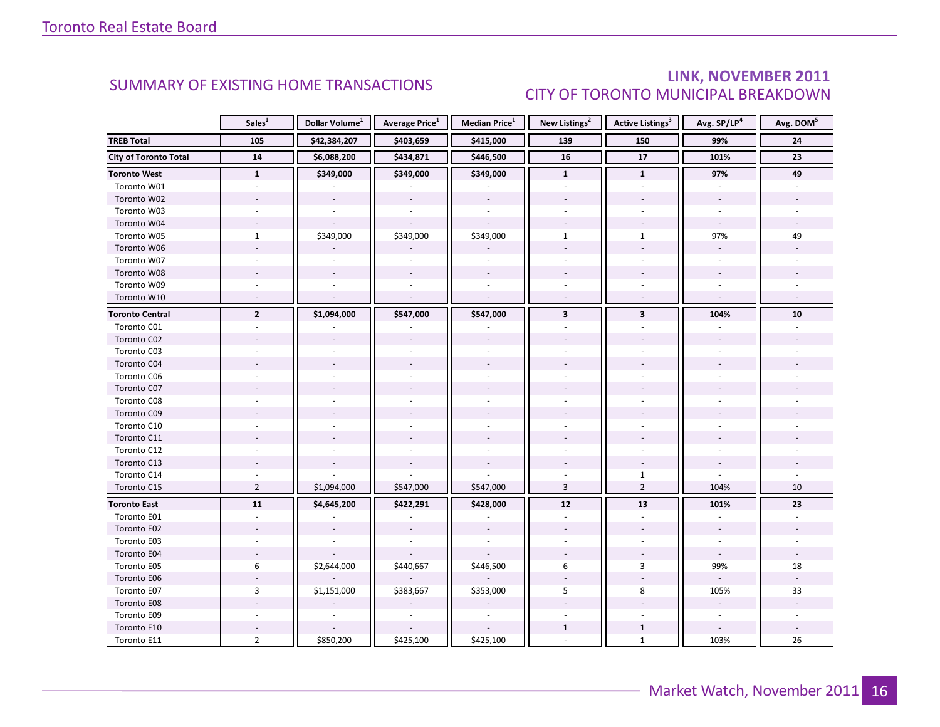#### LINK, NOVEMBER 2011 **CITY OF TORONTO MUNICIPAL BREAKDOWN**

<span id="page-15-0"></span>

|                              | Sales <sup>1</sup> | Dollar Volume <sup>1</sup> | <b>Average Price</b> <sup>1</sup> | <b>Median Price</b> <sup>1</sup> | New Listings <sup>2</sup> | <b>Active Listings<sup>3</sup></b> | Avg. SP/LP <sup>4</sup>  | Avg. DOM <sup>5</sup> |
|------------------------------|--------------------|----------------------------|-----------------------------------|----------------------------------|---------------------------|------------------------------------|--------------------------|-----------------------|
| <b>TREB Total</b>            | 105                | \$42,384,207               | \$403,659                         | \$415,000                        | 139                       | 150                                | 99%                      | ${\bf 24}$            |
| <b>City of Toronto Total</b> | 14                 | \$6,088,200                | \$434,871                         | \$446,500                        | 16                        | $\overline{17}$                    | 101%                     | $\overline{23}$       |
| <b>Toronto West</b>          | $\mathbf{1}$       | \$349,000                  | \$349,000                         | \$349,000                        | $\mathbf{1}$              | $\mathbf{1}$                       | 97%                      | 49                    |
| Toronto W01                  |                    |                            |                                   |                                  |                           |                                    |                          |                       |
| Toronto W02                  |                    |                            |                                   |                                  |                           |                                    |                          |                       |
| Toronto W03                  |                    |                            |                                   |                                  |                           |                                    |                          |                       |
| Toronto W04                  |                    |                            |                                   |                                  |                           |                                    |                          |                       |
| Toronto W05                  | $\mathbf{1}$       | \$349,000                  | \$349,000                         | \$349,000                        | $\mathbf{1}$              | $\mathbf{1}$                       | 97%                      | 49                    |
| Toronto W06                  |                    |                            |                                   |                                  |                           | $\overline{a}$                     |                          |                       |
| Toronto W07                  |                    |                            |                                   |                                  |                           |                                    |                          |                       |
| Toronto W08                  |                    |                            |                                   |                                  |                           |                                    |                          |                       |
| Toronto W09                  |                    |                            |                                   |                                  |                           |                                    |                          |                       |
| Toronto W10                  |                    |                            |                                   | $\sim$                           |                           | $\omega$                           | $\overline{\phantom{a}}$ |                       |
| <b>Toronto Central</b>       | $\mathbf{2}$       | \$1,094,000                | \$547,000                         | \$547,000                        | $\overline{\mathbf{3}}$   | $\mathbf{3}$                       | 104%                     | 10                    |
| Toronto C01                  |                    |                            |                                   |                                  |                           |                                    |                          |                       |
| Toronto C02                  |                    |                            |                                   |                                  |                           |                                    |                          |                       |
| Toronto C03                  |                    |                            |                                   |                                  |                           |                                    |                          |                       |
| Toronto C04                  |                    |                            |                                   |                                  |                           |                                    |                          |                       |
| Toronto C06                  |                    |                            |                                   |                                  |                           |                                    |                          |                       |
| Toronto C07                  |                    |                            |                                   |                                  |                           |                                    |                          |                       |
| Toronto C08                  |                    |                            |                                   |                                  |                           |                                    |                          |                       |
| Toronto C09                  |                    |                            |                                   |                                  |                           |                                    |                          |                       |
| Toronto C10                  |                    |                            |                                   |                                  |                           |                                    |                          |                       |
| Toronto C11                  |                    |                            |                                   |                                  |                           |                                    |                          |                       |
| Toronto C12                  |                    |                            |                                   |                                  |                           |                                    |                          |                       |
| Toronto C13                  |                    |                            |                                   |                                  |                           |                                    |                          |                       |
| Toronto C14                  |                    |                            |                                   |                                  |                           | $\mathbf{1}$                       |                          |                       |
| Toronto C15                  | $\overline{2}$     | \$1,094,000                | \$547,000                         | \$547,000                        | $\overline{3}$            | $\overline{2}$                     | 104%                     | 10                    |
| <b>Toronto East</b>          | 11                 | \$4,645,200                | \$422,291                         | \$428,000                        | 12                        | 13                                 | 101%                     | 23                    |
| Toronto E01                  |                    |                            |                                   |                                  |                           |                                    |                          |                       |
| Toronto E02                  |                    |                            |                                   |                                  |                           |                                    |                          |                       |
| Toronto E03                  |                    |                            |                                   |                                  |                           |                                    |                          |                       |
| Toronto E04                  |                    |                            |                                   |                                  |                           |                                    |                          |                       |
| Toronto E05                  | 6                  | \$2,644,000                | \$440,667                         | \$446,500                        | 6                         | 3                                  | 99%                      | 18                    |
| Toronto E06                  |                    |                            |                                   |                                  |                           |                                    |                          |                       |
| Toronto E07                  | $\mathbf{3}$       | \$1,151,000                | \$383,667                         | \$353,000                        | 5                         | 8                                  | 105%                     | 33                    |
| Toronto E08                  |                    |                            |                                   |                                  |                           |                                    |                          |                       |
| Toronto E09                  |                    |                            |                                   | $\sim$                           |                           |                                    | $\sim$                   |                       |
| Toronto E10                  |                    |                            |                                   |                                  | $\mathbf{1}$              | $\mathbf{1}$                       |                          |                       |
| Toronto E11                  | $\overline{2}$     | \$850,200                  | \$425,100                         | \$425,100                        |                           | $\mathbf{1}$                       | 103%                     | 26                    |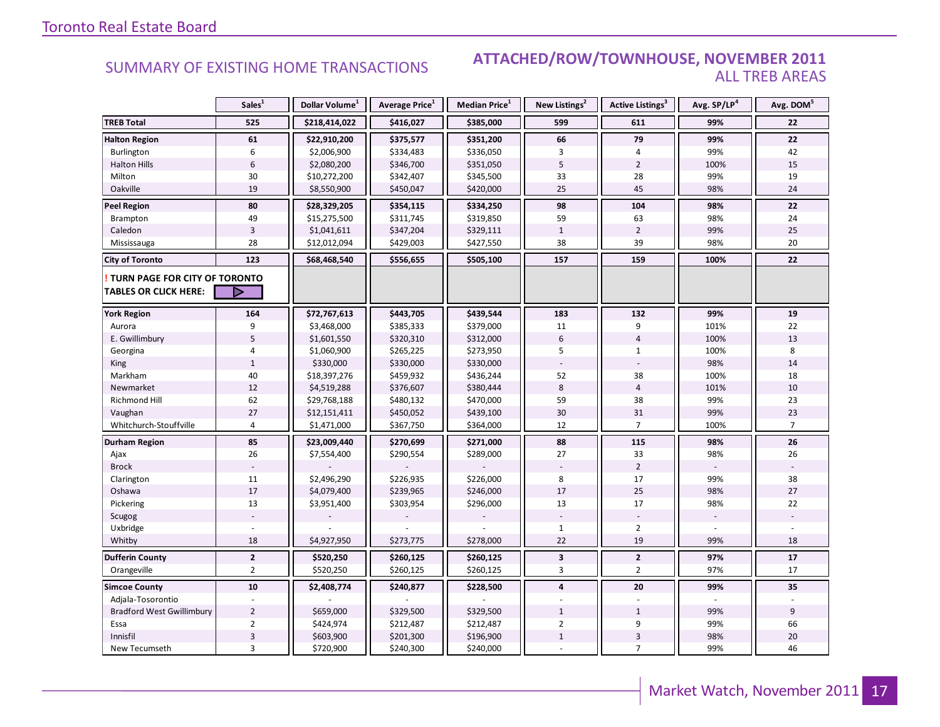#### **ATTACHED/ROW/TOWNHOUSE, NOVEMBER 2011 ALL TREB AREAS**

|                                                               | Sales <sup>1</sup> | Dollar Volume <sup>1</sup> | Average Price <sup>1</sup> | Median Price <sup>1</sup> | New Listings <sup>2</sup> | Active Listings <sup>3</sup> | Avg. SP/LP <sup>4</sup> | Avg. DOM <sup>5</sup> |
|---------------------------------------------------------------|--------------------|----------------------------|----------------------------|---------------------------|---------------------------|------------------------------|-------------------------|-----------------------|
| <b>TREB Total</b>                                             | 525                | \$218,414,022              | \$416,027                  | \$385,000                 | 599                       | 611                          | 99%                     | 22                    |
| <b>Halton Region</b>                                          | 61                 | \$22,910,200               | \$375,577                  | \$351,200                 | 66                        | 79                           | 99%                     | 22                    |
| Burlington                                                    | 6                  | \$2,006,900                | \$334,483                  | \$336,050                 | 3                         | 4                            | 99%                     | 42                    |
| <b>Halton Hills</b>                                           | $6\phantom{1}$     | \$2,080,200                | \$346,700                  | \$351,050                 | 5                         | $\overline{2}$               | 100%                    | 15                    |
| Milton                                                        | 30                 | \$10,272,200               | \$342,407                  | \$345,500                 | 33                        | 28                           | 99%                     | 19                    |
| Oakville                                                      | 19                 | \$8,550,900                | \$450,047                  | \$420,000                 | 25                        | 45                           | 98%                     | 24                    |
| <b>Peel Region</b>                                            | 80                 | \$28,329,205               | \$354,115                  | \$334,250                 | 98                        | 104                          | 98%                     | 22                    |
| Brampton                                                      | 49                 | \$15,275,500               | \$311,745                  | \$319,850                 | 59                        | 63                           | 98%                     | 24                    |
| Caledon                                                       | $\overline{3}$     | \$1,041,611                | \$347,204                  | \$329,111                 | $\mathbf{1}$              | $\overline{2}$               | 99%                     | 25                    |
| Mississauga                                                   | 28                 | \$12,012,094               | \$429,003                  | \$427,550                 | 38                        | 39                           | 98%                     | 20                    |
| <b>City of Toronto</b>                                        | 123                | \$68,468,540               | \$556,655                  | \$505,100                 | 157                       | 159                          | 100%                    | 22                    |
| TURN PAGE FOR CITY OF TORONTO<br><b>TABLES OR CLICK HERE:</b> | ▷                  |                            |                            |                           |                           |                              |                         |                       |
| <b>York Region</b>                                            | 164                | \$72,767,613               | \$443,705                  | \$439,544                 | 183                       | 132                          | 99%                     | 19                    |
| Aurora                                                        | 9                  | \$3,468,000                | \$385,333                  | \$379,000                 | 11                        | 9                            | 101%                    | 22                    |
| E. Gwillimbury                                                | 5                  | \$1,601,550                | \$320,310                  | \$312,000                 | 6                         | $\overline{4}$               | 100%                    | 13                    |
| Georgina                                                      | 4                  | \$1,060,900                | \$265,225                  | \$273,950                 | 5                         | $\mathbf{1}$                 | 100%                    | 8                     |
| King                                                          | $\mathbf{1}$       | \$330,000                  | \$330,000                  | \$330,000                 |                           |                              | 98%                     | 14                    |
| Markham                                                       | 40                 | \$18,397,276               | \$459,932                  | \$436,244                 | 52                        | 38                           | 100%                    | 18                    |
| Newmarket                                                     | 12                 | \$4,519,288                | \$376,607                  | \$380,444                 | 8                         | $\overline{4}$               | 101%                    | 10                    |
| <b>Richmond Hill</b>                                          | 62                 | \$29,768,188               | \$480,132                  | \$470,000                 | 59                        | 38                           | 99%                     | 23                    |
| Vaughan                                                       | 27                 | \$12,151,411               | \$450,052                  | \$439,100                 | 30                        | 31                           | 99%                     | 23                    |
| Whitchurch-Stouffville                                        | $\overline{4}$     | \$1,471,000                | \$367,750                  | \$364,000                 | 12                        | $\overline{7}$               | 100%                    | $\overline{7}$        |
| Durham Region                                                 | 85                 | \$23,009,440               | \$270,699                  | \$271,000                 | 88                        | 115                          | 98%                     | ${\bf 26}$            |
| Ajax                                                          | 26                 | \$7,554,400                | \$290,554                  | \$289,000                 | 27                        | 33                           | 98%                     | 26                    |
| <b>Brock</b>                                                  |                    |                            |                            |                           |                           | $\overline{2}$               |                         |                       |
| Clarington                                                    | $11\,$             | \$2,496,290                | \$226,935                  | \$226,000                 | 8                         | 17                           | 99%                     | 38                    |
| Oshawa                                                        | 17                 | \$4,079,400                | \$239,965                  | \$246,000                 | 17                        | 25                           | 98%                     | 27                    |
| Pickering                                                     | 13                 | \$3,951,400                | \$303,954                  | \$296,000                 | 13                        | 17                           | 98%                     | 22                    |
| Scugog                                                        |                    |                            |                            |                           |                           |                              |                         |                       |
| Uxbridge                                                      |                    |                            |                            |                           | $\mathbf{1}$              | $\overline{2}$               |                         |                       |
| Whitby                                                        | 18                 | \$4,927,950                | \$273,775                  | \$278,000                 | 22                        | 19                           | 99%                     | 18                    |
| <b>Dufferin County</b>                                        | $\mathbf 2$        | \$520,250                  | \$260,125                  | \$260,125                 | $\mathbf{3}$              | $\overline{2}$               | 97%                     | ${\bf 17}$            |
| Orangeville                                                   | $\overline{2}$     | \$520,250                  | \$260,125                  | \$260,125                 | 3                         | $\overline{2}$               | 97%                     | 17                    |
| <b>Simcoe County</b>                                          | ${\bf 10}$         | \$2,408,774                | \$240,877                  | \$228,500                 | 4                         | 20                           | 99%                     | 35                    |
| Adjala-Tosorontio                                             |                    |                            |                            |                           |                           |                              |                         |                       |
| <b>Bradford West Gwillimbury</b>                              | $\overline{2}$     | \$659,000                  | \$329,500                  | \$329,500                 | $\mathbf{1}$              | $\mathbf{1}$                 | 99%                     | 9                     |
| Essa                                                          | $\overline{2}$     | \$424,974                  | \$212,487                  | \$212,487                 | $\overline{2}$            | 9                            | 99%                     | 66                    |
| Innisfil                                                      | $\mathsf 3$        | \$603,900                  | \$201,300                  | \$196,900                 | $1\,$                     | $\mathsf 3$                  | 98%                     | 20                    |
| New Tecumseth                                                 | 3                  | \$720,900                  | \$240,300                  | \$240,000                 |                           | $\overline{7}$               | 99%                     | 46                    |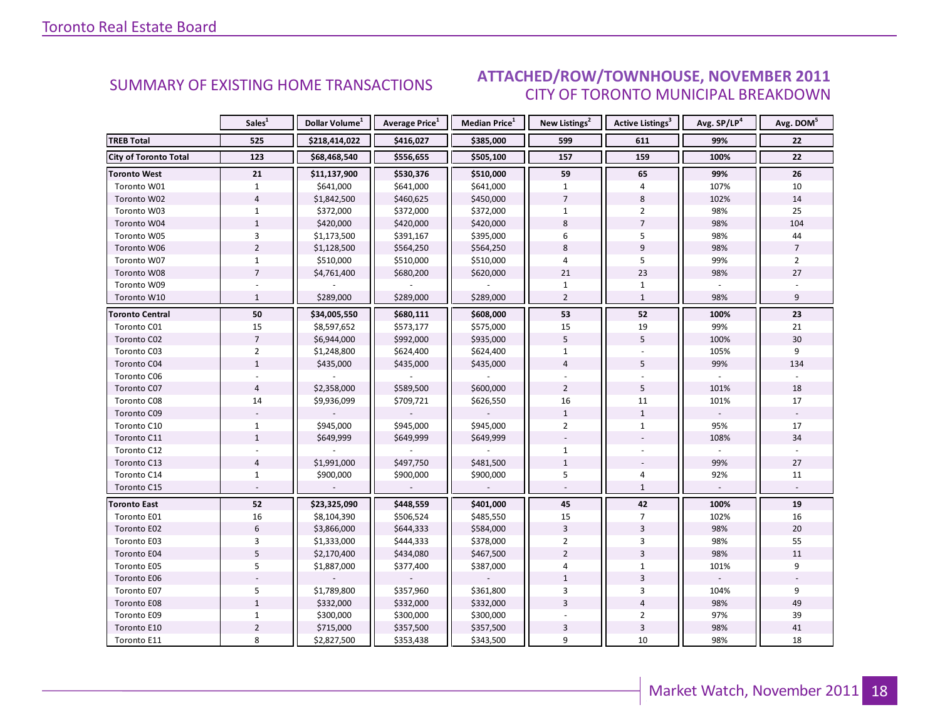### **ATTACHED/ROW/TOWNHOUSE, NOVEMBER 2011 CITY OF TORONTO MUNICIPAL BREAKDOWN**

<span id="page-17-0"></span>

|                              | Sales <sup>1</sup> | Dollar Volume <sup>1</sup> | <b>Average Price</b> <sup>1</sup> | <b>Median Price</b> <sup>1</sup> | New Listings <sup>2</sup> | <b>Active Listings<sup>3</sup></b> | Avg. SP/LP <sup>4</sup> | Avg. DOM <sup>5</sup> |
|------------------------------|--------------------|----------------------------|-----------------------------------|----------------------------------|---------------------------|------------------------------------|-------------------------|-----------------------|
| <b>TREB Total</b>            | 525                | \$218,414,022              | \$416,027                         | \$385,000                        | 599                       | 611                                | 99%                     | 22                    |
| <b>City of Toronto Total</b> | 123                | \$68,468,540               | \$556,655                         | \$505,100                        | 157                       | 159                                | 100%                    | 22                    |
| <b>Toronto West</b>          | 21                 | \$11,137,900               | \$530,376                         | \$510,000                        | 59                        | 65                                 | 99%                     | 26                    |
| Toronto W01                  | $\mathbf{1}$       | \$641,000                  | \$641,000                         | \$641,000                        | $\mathbf{1}$              | 4                                  | 107%                    | 10                    |
| Toronto W02                  | $\overline{4}$     | \$1,842,500                | \$460,625                         | \$450,000                        | $\overline{7}$            | $\,8\,$                            | 102%                    | 14                    |
| Toronto W03                  | $\mathbf{1}$       | \$372,000                  | \$372,000                         | \$372,000                        | $\mathbf{1}$              | $\overline{2}$                     | 98%                     | 25                    |
| Toronto W04                  | $\mathbf{1}$       | \$420,000                  | \$420,000                         | \$420,000                        | 8                         | $\overline{7}$                     | 98%                     | 104                   |
| Toronto W05                  | 3                  | \$1,173,500                | \$391,167                         | \$395,000                        | 6                         | 5                                  | 98%                     | 44                    |
| Toronto W06                  | $\overline{2}$     | \$1,128,500                | \$564,250                         | \$564,250                        | 8                         | $\overline{9}$                     | 98%                     | $\overline{7}$        |
| Toronto W07                  | $\mathbf{1}$       | \$510,000                  | \$510,000                         | \$510,000                        | 4                         | 5                                  | 99%                     | $\overline{2}$        |
| Toronto W08                  | $\overline{7}$     | \$4,761,400                | \$680,200                         | \$620,000                        | 21                        | 23                                 | 98%                     | 27                    |
| Toronto W09                  |                    |                            |                                   |                                  | 1                         | $\mathbf{1}$                       |                         |                       |
| Toronto W10                  | $\mathbf{1}$       | \$289,000                  | \$289,000                         | \$289,000                        | $\overline{2}$            | $\mathbf{1}$                       | 98%                     | 9                     |
| <b>Toronto Central</b>       | 50                 | \$34,005,550               | \$680,111                         | \$608,000                        | 53                        | 52                                 | 100%                    | 23                    |
| Toronto C01                  | 15                 | \$8,597,652                | \$573,177                         | \$575,000                        | 15                        | 19                                 | 99%                     | 21                    |
| Toronto C02                  | $\overline{7}$     | \$6,944,000                | \$992,000                         | \$935,000                        | 5                         | 5                                  | 100%                    | 30                    |
| Toronto C03                  | $\overline{2}$     | \$1,248,800                | \$624,400                         | \$624,400                        | $\mathbf{1}$              |                                    | 105%                    | 9                     |
| Toronto C04                  | $\mathbf{1}$       | \$435,000                  | \$435,000                         | \$435,000                        | $\overline{4}$            | 5                                  | 99%                     | 134                   |
| Toronto C06                  |                    |                            |                                   |                                  |                           |                                    |                         |                       |
| Toronto C07                  | $\overline{4}$     | \$2,358,000                | \$589,500                         | \$600,000                        | $\overline{2}$            | 5                                  | 101%                    | 18                    |
| Toronto C08                  | 14                 | \$9,936,099                | \$709,721                         | \$626,550                        | 16                        | 11                                 | 101%                    | 17                    |
| Toronto C09                  |                    |                            |                                   |                                  | $\mathbf 1$               | $\mathbf{1}$                       |                         |                       |
| Toronto C10                  | $\mathbf{1}$       | \$945,000                  | \$945,000                         | \$945,000                        | $\overline{2}$            | $\mathbf{1}$                       | 95%                     | 17                    |
| Toronto C11                  | $\mathbf{1}$       | \$649,999                  | \$649,999                         | \$649,999                        |                           |                                    | 108%                    | 34                    |
| Toronto C12                  |                    |                            |                                   |                                  | $\mathbf{1}$              |                                    |                         |                       |
| Toronto C13                  | $\overline{4}$     | \$1,991,000                | \$497,750                         | \$481,500                        | $\mathbf 1$               |                                    | 99%                     | 27                    |
| Toronto C14                  | $\mathbf{1}$       | \$900,000                  | \$900,000                         | \$900,000                        | 5                         | 4                                  | 92%                     | 11                    |
| Toronto C15                  |                    |                            |                                   |                                  |                           | $\mathbf{1}$                       |                         |                       |
| <b>Toronto East</b>          | 52                 | \$23,325,090               | \$448,559                         | \$401,000                        | 45                        | 42                                 | 100%                    | 19                    |
| Toronto E01                  | 16                 | \$8,104,390                | \$506,524                         | \$485,550                        | 15                        | $\overline{7}$                     | 102%                    | 16                    |
| Toronto E02                  | $\sqrt{6}$         | \$3,866,000                | \$644,333                         | \$584,000                        | $\overline{3}$            | $\overline{3}$                     | 98%                     | 20                    |
| Toronto E03                  | 3                  | \$1,333,000                | \$444,333                         | \$378,000                        | $\overline{2}$            | 3                                  | 98%                     | 55                    |
| Toronto E04                  | 5                  | \$2,170,400                | \$434,080                         | \$467,500                        | $\overline{2}$            | 3                                  | 98%                     | 11                    |
| Toronto E05                  | 5                  | \$1,887,000                | \$377,400                         | \$387,000                        | 4                         | $\mathbf{1}$                       | 101%                    | 9                     |
| Toronto E06                  |                    |                            |                                   |                                  | $\mathbf{1}$              | 3                                  |                         |                       |
| Toronto E07                  | 5                  | \$1,789,800                | \$357,960                         | \$361,800                        | 3                         | 3                                  | 104%                    | 9                     |
| Toronto E08                  | $\mathbf{1}$       | \$332,000                  | \$332,000                         | \$332,000                        | $\overline{3}$            | $\overline{4}$                     | 98%                     | 49                    |
| Toronto E09                  | $\mathbf{1}$       | \$300,000                  | \$300,000                         | \$300,000                        |                           | $\overline{2}$                     | 97%                     | 39                    |
| Toronto E10                  | $\overline{2}$     | \$715,000                  | \$357,500                         | \$357,500                        | 3                         | $\overline{\mathbf{3}}$            | 98%                     | 41                    |
| Toronto E11                  | 8                  | \$2,827,500                | \$353,438                         | \$343,500                        | 9                         | 10                                 | 98%                     | 18                    |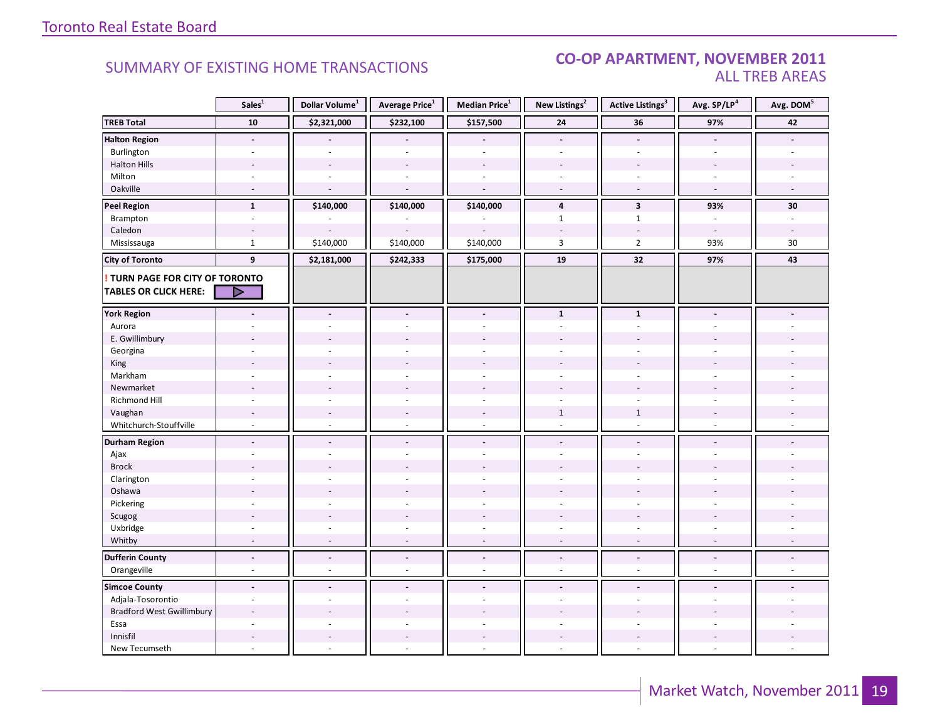#### **CO-OP APARTMENT, NOVEMBER 2011 ALL TREB AREAS**

|                                        | Sales <sup>1</sup>       | Dollar Volume <sup>1</sup> | Average Price <sup>1</sup> | Median Price <sup>1</sup> | New Listings <sup>2</sup> | <b>Active Listings<sup>3</sup></b> | Avg. SP/LP <sup>4</sup> | Avg. DOM <sup>5</sup> |
|----------------------------------------|--------------------------|----------------------------|----------------------------|---------------------------|---------------------------|------------------------------------|-------------------------|-----------------------|
| <b>TREB Total</b>                      | ${\bf 10}$               | \$2,321,000                | \$232,100                  | \$157,500                 | ${\bf 24}$                | 36                                 | 97%                     | 42                    |
| <b>Halton Region</b>                   | $\overline{a}$           |                            |                            | $\overline{a}$            | $\overline{a}$            | $\overline{a}$                     | $\blacksquare$          |                       |
| Burlington                             |                          |                            |                            |                           |                           |                                    |                         |                       |
| <b>Halton Hills</b>                    |                          |                            |                            |                           |                           |                                    |                         |                       |
| Milton                                 |                          |                            |                            | $\sim$                    |                           | $\sim$                             | $\sim$                  |                       |
| Oakville                               | $\overline{a}$           | $\sim$                     | $\sim$                     | $\sim$                    | $\overline{a}$            | $\overline{\phantom{a}}$           | $\sim$                  | $\sim$                |
| <b>Peel Region</b>                     | $\mathbf{1}$             | \$140,000                  | \$140,000                  | \$140,000                 | 4                         | $\overline{\mathbf{3}}$            | 93%                     | 30                    |
| Brampton                               | $\omega$                 |                            |                            |                           | $\mathbf{1}$              | $\mathbf{1}$                       | $\sim$                  | $\sim$                |
| Caledon                                |                          |                            |                            |                           |                           |                                    | $\overline{a}$          |                       |
| Mississauga                            | $\mathbf{1}$             | \$140,000                  | \$140,000                  | \$140,000                 | $\overline{3}$            | $\overline{2}$                     | 93%                     | $30\,$                |
| <b>City of Toronto</b>                 | 9                        | \$2,181,000                | \$242,333                  | \$175,000                 | 19                        | 32                                 | 97%                     | 43                    |
| <b>! TURN PAGE FOR CITY OF TORONTO</b> |                          |                            |                            |                           |                           |                                    |                         |                       |
| <b>TABLES OR CLICK HERE:</b>           | ▷                        |                            |                            |                           |                           |                                    |                         |                       |
| <b>York Region</b>                     |                          |                            | $\overline{a}$             | $\overline{a}$            | $\mathbf{1}$              | $\mathbf 1$                        |                         |                       |
| Aurora                                 |                          |                            |                            |                           |                           |                                    |                         |                       |
| E. Gwillimbury                         |                          |                            |                            |                           |                           |                                    |                         |                       |
| Georgina                               |                          |                            |                            |                           |                           |                                    |                         |                       |
| <b>King</b>                            |                          |                            |                            |                           |                           |                                    |                         |                       |
| Markham                                | ä,                       |                            |                            | ÷,                        | $\sim$                    | ä,                                 |                         |                       |
| Newmarket                              |                          |                            |                            |                           |                           |                                    |                         |                       |
| Richmond Hill                          |                          |                            |                            |                           |                           |                                    |                         |                       |
| Vaughan                                |                          |                            |                            | ÷,                        | $\mathbf{1}$              | $\mathbf{1}$                       |                         |                       |
| Whitchurch-Stouffville                 | $\omega$                 | $\sim$                     | $\sim$                     | $\overline{\phantom{a}}$  | $\sim$                    | $\overline{a}$                     | $\sim$                  |                       |
| <b>Durham Region</b>                   | $\blacksquare$           | $\sim$                     | $\blacksquare$             | $\overline{a}$            | $\blacksquare$            | $\blacksquare$                     | $\blacksquare$          |                       |
| Ajax                                   |                          |                            |                            | ÷,                        | $\sim$                    | ÷.                                 |                         |                       |
| <b>Brock</b>                           |                          |                            |                            |                           |                           |                                    |                         |                       |
| Clarington                             |                          |                            |                            |                           |                           |                                    |                         |                       |
| Oshawa                                 |                          |                            |                            |                           |                           |                                    |                         |                       |
| Pickering                              | ä,                       |                            |                            | L.                        | $\sim$                    | ä,                                 |                         |                       |
| Scugog                                 |                          |                            |                            |                           |                           |                                    |                         |                       |
| Uxbridge                               | $\ddot{\phantom{1}}$     |                            |                            | ÷.                        |                           | $\overline{a}$                     | $\overline{a}$          |                       |
| Whitby                                 | $\overline{a}$           |                            | $\overline{a}$             | ÷,                        | $\overline{\phantom{a}}$  | $\overline{\phantom{a}}$           | $\sim$                  |                       |
| <b>Dufferin County</b>                 | $\overline{a}$           | $\Box$                     | $\mathbf{r}$               | $\overline{a}$            | $\overline{a}$            | $\overline{a}$                     | $\Box$                  |                       |
| Orangeville                            | $\overline{\phantom{a}}$ | $\sim$                     | $\sim$                     | $\omega$                  | $\sim$                    | $\sim$                             | $\sim$                  | $\sim$                |
| <b>Simcoe County</b>                   | $\blacksquare$           |                            | $\overline{a}$             | $\overline{a}$            | $\overline{a}$            | $\overline{a}$                     |                         |                       |
| Adjala-Tosorontio                      | ä,                       |                            |                            | ä,                        |                           | ä,                                 |                         |                       |
| <b>Bradford West Gwillimbury</b>       |                          |                            |                            |                           |                           |                                    |                         |                       |
| Essa                                   | ÷                        |                            |                            | ä,                        |                           | $\overline{a}$                     |                         |                       |
| Innisfil                               |                          |                            |                            |                           |                           |                                    |                         |                       |
| New Tecumseth                          |                          |                            |                            |                           |                           | ÷.                                 | ÷.                      |                       |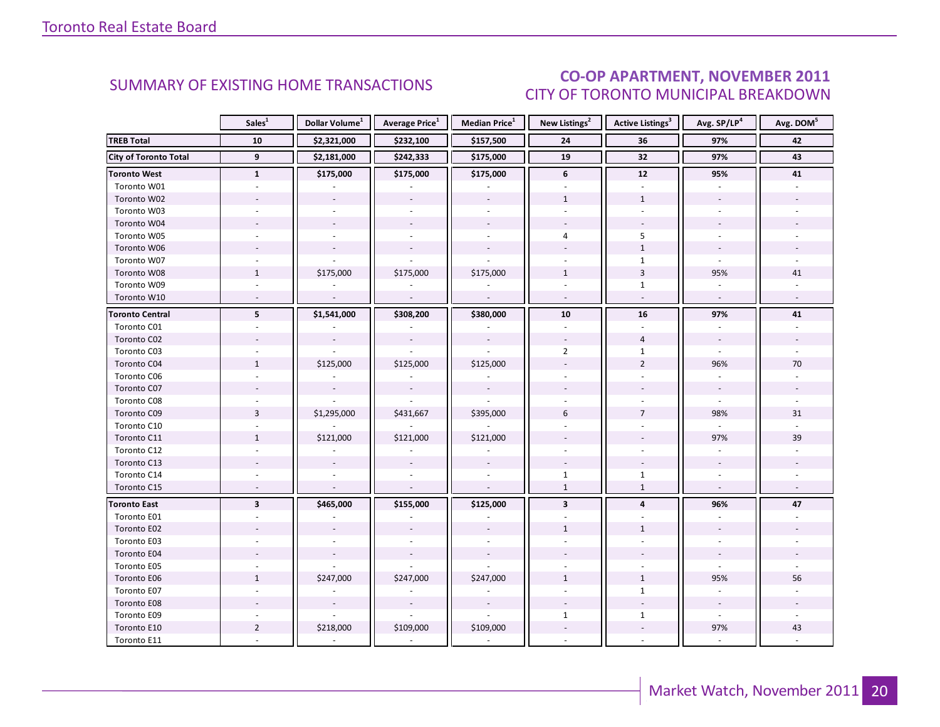### **CO-OP APARTMENT, NOVEMBER 2011** CITY OF TORONTO MUNICIPAL BREAKDOWN

<span id="page-19-0"></span>

|                              | Sales <sup>1</sup>       | Dollar Volume <sup>1</sup> | <b>Average Price</b> <sup>1</sup> | Median Price <sup>1</sup> | New Listings <sup>2</sup> | <b>Active Listings<sup>3</sup></b> | Avg. SP/LP <sup>4</sup>  | Avg. DOM <sup>5</sup> |
|------------------------------|--------------------------|----------------------------|-----------------------------------|---------------------------|---------------------------|------------------------------------|--------------------------|-----------------------|
| <b>TREB Total</b>            | 10                       | \$2,321,000                | \$232,100                         | \$157,500                 | 24                        | 36                                 | 97%                      | 42                    |
| <b>City of Toronto Total</b> | 9                        | \$2,181,000                | \$242,333                         | \$175,000                 | 19                        | 32                                 | 97%                      | 43                    |
| <b>Toronto West</b>          | $\mathbf{1}$             | \$175,000                  | \$175,000                         | \$175,000                 | 6                         | ${\bf 12}$                         | 95%                      | 41                    |
| Toronto W01                  |                          |                            |                                   |                           |                           |                                    |                          |                       |
| Toronto W02                  |                          |                            |                                   |                           | $\mathbf{1}$              | $\mathbf{1}$                       |                          |                       |
| Toronto W03                  | $\sim$                   |                            |                                   | $\sim$                    | $\sim$                    | $\sim$                             |                          |                       |
| Toronto W04                  |                          |                            |                                   |                           |                           |                                    |                          |                       |
| Toronto W05                  |                          |                            |                                   |                           | 4                         | 5                                  |                          |                       |
| Toronto W06                  |                          |                            |                                   |                           |                           | $1\,$                              |                          |                       |
| Toronto W07                  | $\sim$                   |                            |                                   |                           | $\omega$                  | $\mathbf{1}$                       | $\omega$                 |                       |
| Toronto W08                  | $\mathbf{1}$             | \$175,000                  | \$175,000                         | \$175,000                 | $\mathbf{1}$              | $\overline{3}$                     | 95%                      | 41                    |
| Toronto W09                  |                          |                            |                                   |                           |                           | $\mathbf{1}$                       |                          |                       |
| Toronto W10                  | $\sim$                   | $\blacksquare$             | $\sim$                            | $\omega$                  | $\sim$                    | $\blacksquare$                     | $\sim$                   | $\sim$                |
| <b>Toronto Central</b>       | 5                        | \$1,541,000                | \$308,200                         | \$380,000                 | 10                        | 16                                 | 97%                      | 41                    |
| Toronto C01                  |                          |                            |                                   |                           |                           |                                    |                          |                       |
| Toronto C02                  |                          | $\overline{\phantom{a}}$   | $\overline{\phantom{a}}$          |                           |                           | $\overline{4}$                     | $\omega$                 |                       |
| Toronto C03                  |                          |                            |                                   |                           | $\overline{2}$            | $\mathbf{1}$                       |                          |                       |
| Toronto C04                  | $\mathbf{1}$             | \$125,000                  | \$125,000                         | \$125,000                 |                           | $\overline{2}$                     | 96%                      | 70                    |
| Toronto C06                  |                          |                            |                                   |                           |                           |                                    |                          |                       |
| Toronto C07                  |                          |                            | $\overline{\phantom{a}}$          |                           |                           |                                    | $\omega$                 |                       |
| Toronto C08                  |                          |                            |                                   |                           |                           |                                    |                          |                       |
| Toronto C09                  | $\overline{3}$           | \$1,295,000                | \$431,667                         | \$395,000                 | 6                         | $\overline{7}$                     | 98%                      | 31                    |
| Toronto C10                  |                          |                            |                                   |                           |                           |                                    |                          |                       |
| Toronto C11                  | $\mathbf{1}$             | \$121,000                  | \$121,000                         | \$121,000                 |                           |                                    | 97%                      | 39                    |
| Toronto C12                  |                          |                            |                                   |                           |                           |                                    |                          |                       |
| Toronto C13                  |                          |                            |                                   |                           |                           |                                    |                          |                       |
| Toronto C14                  |                          |                            |                                   |                           | $\mathbf{1}$              | $\mathbf{1}$                       |                          |                       |
| Toronto C15                  | $\overline{\phantom{a}}$ |                            | ÷,                                |                           | $\mathbf{1}$              | $\mathbf{1}$                       | $\overline{\phantom{a}}$ |                       |
| <b>Toronto East</b>          | $\overline{\mathbf{3}}$  | \$465,000                  | \$155,000                         | \$125,000                 | $\overline{\mathbf{3}}$   | $\overline{4}$                     | 96%                      | 47                    |
| Toronto E01                  |                          |                            |                                   |                           |                           |                                    |                          |                       |
| Toronto E02                  |                          |                            |                                   |                           | $\mathbf{1}$              | $\mathbf{1}$                       |                          |                       |
| Toronto E03                  |                          |                            |                                   |                           |                           |                                    |                          |                       |
| Toronto E04                  |                          |                            | $\bar{\phantom{a}}$               |                           |                           |                                    |                          |                       |
| Toronto E05                  | $\sim$                   |                            |                                   |                           |                           |                                    |                          |                       |
| Toronto E06                  | $\mathbf{1}$             | \$247,000                  | \$247,000                         | \$247,000                 | $\mathbf{1}$              | $\mathbf{1}$                       | 95%                      | 56                    |
| Toronto E07                  |                          |                            |                                   |                           |                           | $\mathbf{1}$                       |                          |                       |
| Toronto E08                  |                          |                            |                                   |                           |                           | $\overline{a}$                     |                          |                       |
| Toronto E09                  |                          |                            |                                   |                           | $\mathbf{1}$              | $\mathbf{1}$                       | $\blacksquare$           |                       |
| Toronto E10                  | $\overline{2}$           | \$218,000                  | \$109,000                         | \$109,000                 |                           |                                    | 97%                      | 43                    |
| Toronto E11                  |                          |                            |                                   |                           |                           |                                    |                          |                       |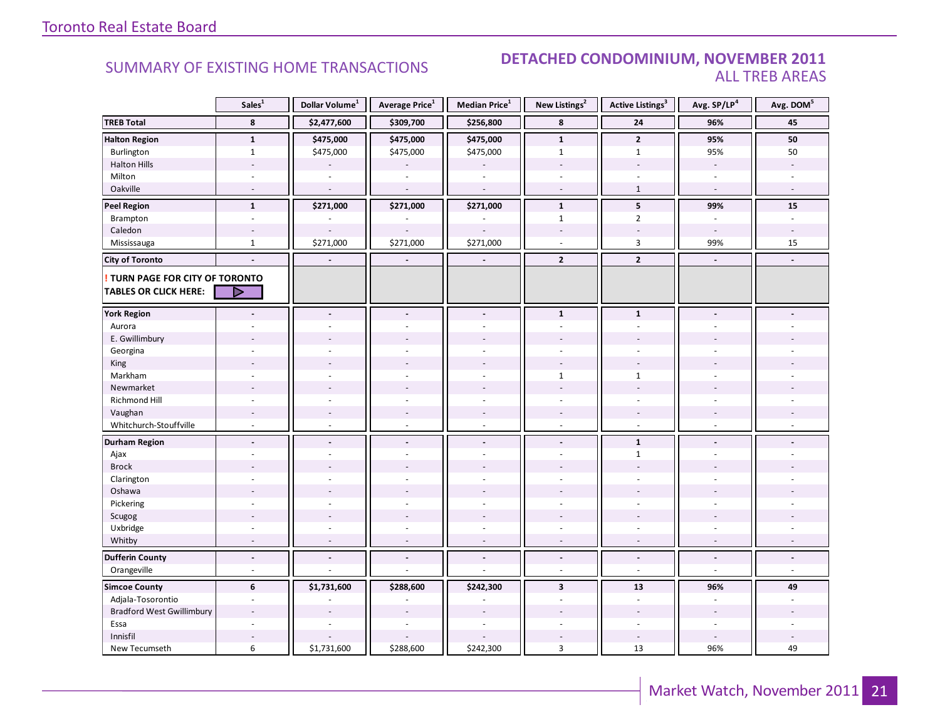#### DETACHED CONDOMINIUM, NOVEMBER 2011 **ALL TREB AREAS**

|                                        | Sales <sup>1</sup>       | Dollar Volume <sup>1</sup> | Average Price <sup>1</sup> | Median Price <sup>1</sup> | New Listings <sup>2</sup> | <b>Active Listings<sup>3</sup></b> | Avg. SP/LP <sup>4</sup>  | Avg. DOM <sup>5</sup> |
|----------------------------------------|--------------------------|----------------------------|----------------------------|---------------------------|---------------------------|------------------------------------|--------------------------|-----------------------|
| <b>TREB Total</b>                      | 8                        | \$2,477,600                | \$309,700                  | \$256,800                 | 8                         | 24                                 | 96%                      | 45                    |
| <b>Halton Region</b>                   | $\mathbf 1$              | \$475,000                  | \$475,000                  | \$475,000                 | $\mathbf{1}$              | $\overline{2}$                     | 95%                      | 50                    |
| Burlington                             | $\mathbf{1}$             | \$475,000                  | \$475,000                  | \$475,000                 | $\mathbf{1}$              | $\mathbf{1}$                       | 95%                      | 50                    |
| <b>Halton Hills</b>                    |                          |                            |                            |                           | $\overline{\phantom{a}}$  |                                    | $\overline{\phantom{a}}$ |                       |
| Milton                                 |                          |                            |                            |                           |                           |                                    |                          |                       |
| Oakville                               | $\overline{\phantom{a}}$ | $\overline{\phantom{a}}$   | $\overline{a}$             | ÷,                        | $\overline{\phantom{a}}$  | $\mathbf{1}$                       | $\sim$                   | $\sim$                |
| <b>Peel Region</b>                     | $\mathbf{1}$             | \$271,000                  | \$271,000                  | \$271,000                 | $\mathbf{1}$              | 5                                  | 99%                      | 15                    |
| Brampton                               | $\overline{\phantom{a}}$ |                            |                            |                           | $1\,$                     | $\overline{2}$                     | $\mathcal{L}$            | ÷,                    |
| Caledon                                |                          |                            |                            |                           |                           |                                    |                          |                       |
| Mississauga                            | $\mathbf{1}$             | \$271,000                  | \$271,000                  | \$271,000                 |                           | 3                                  | 99%                      | 15                    |
| <b>City of Toronto</b>                 |                          | $\overline{\phantom{a}}$   | $\blacksquare$             | $\blacksquare$            | $\mathbf{2}$              | $\overline{2}$                     | $\blacksquare$           |                       |
| <b>! TURN PAGE FOR CITY OF TORONTO</b> |                          |                            |                            |                           |                           |                                    |                          |                       |
| <b>TABLES OR CLICK HERE:</b>           | ▷                        |                            |                            |                           |                           |                                    |                          |                       |
| <b>York Region</b>                     |                          |                            |                            |                           | $\mathbf 1$               | $\mathbf{1}$                       |                          |                       |
| Aurora                                 |                          |                            |                            |                           |                           |                                    |                          |                       |
| E. Gwillimbury                         |                          |                            |                            |                           |                           |                                    |                          |                       |
| Georgina                               |                          |                            |                            |                           |                           |                                    |                          |                       |
| King                                   |                          |                            |                            |                           |                           |                                    |                          |                       |
| Markham                                |                          |                            |                            |                           | $\mathbf{1}$              | $\mathbf{1}$                       |                          |                       |
| Newmarket                              |                          |                            |                            |                           |                           |                                    |                          |                       |
| <b>Richmond Hill</b>                   |                          |                            |                            |                           |                           |                                    |                          |                       |
| Vaughan                                |                          |                            |                            |                           | $\overline{\phantom{a}}$  |                                    |                          |                       |
| Whitchurch-Stouffville                 | ÷.                       | $\sim$                     | $\sim$                     | ÷.                        | $\sim$                    | $\sim$                             | ÷.                       |                       |
| <b>Durham Region</b>                   | $\overline{a}$           | $\overline{a}$             |                            | $\blacksquare$            | $\blacksquare$            | $\mathbf{1}$                       | $\blacksquare$           |                       |
| Ajax                                   |                          |                            |                            |                           | ä,                        | $\mathbf{1}$                       |                          |                       |
| <b>Brock</b>                           |                          |                            |                            |                           |                           |                                    |                          |                       |
| Clarington                             |                          |                            |                            |                           |                           |                                    |                          |                       |
| Oshawa                                 |                          |                            |                            |                           |                           |                                    |                          |                       |
| Pickering                              |                          |                            |                            |                           |                           |                                    |                          |                       |
| Scugog                                 |                          |                            |                            |                           |                           |                                    |                          |                       |
| Uxbridge                               |                          |                            |                            |                           | ÷.                        |                                    |                          |                       |
| Whitby                                 | ٠                        | $\overline{\phantom{a}}$   |                            | $\overline{a}$            | $\overline{a}$            | $\overline{\phantom{a}}$           | $\overline{a}$           |                       |
| <b>Dufferin County</b>                 | $\overline{a}$           | $\overline{a}$             | $\blacksquare$             | $\overline{a}$            | $\overline{a}$            | $\blacksquare$                     | $\overline{a}$           |                       |
| Orangeville                            | $\sim$                   |                            |                            | L.                        | $\overline{a}$            | $\sim$                             | $\sim$                   | $\overline{a}$        |
| <b>Simcoe County</b>                   | 6                        | \$1,731,600                | \$288,600                  | \$242,300                 | $\overline{\mathbf{3}}$   | 13                                 | 96%                      | 49                    |
| Adjala-Tosorontio                      | ÷.                       |                            |                            |                           |                           | $\overline{\phantom{a}}$           |                          |                       |
| <b>Bradford West Gwillimbury</b>       |                          |                            |                            |                           |                           |                                    |                          |                       |
| Essa                                   | $\sim$                   |                            |                            |                           |                           |                                    |                          |                       |
| Innisfil                               |                          |                            |                            |                           |                           |                                    |                          |                       |
| New Tecumseth                          | 6                        | \$1,731,600                | \$288,600                  | \$242,300                 | $\overline{3}$            | 13                                 | 96%                      | 49                    |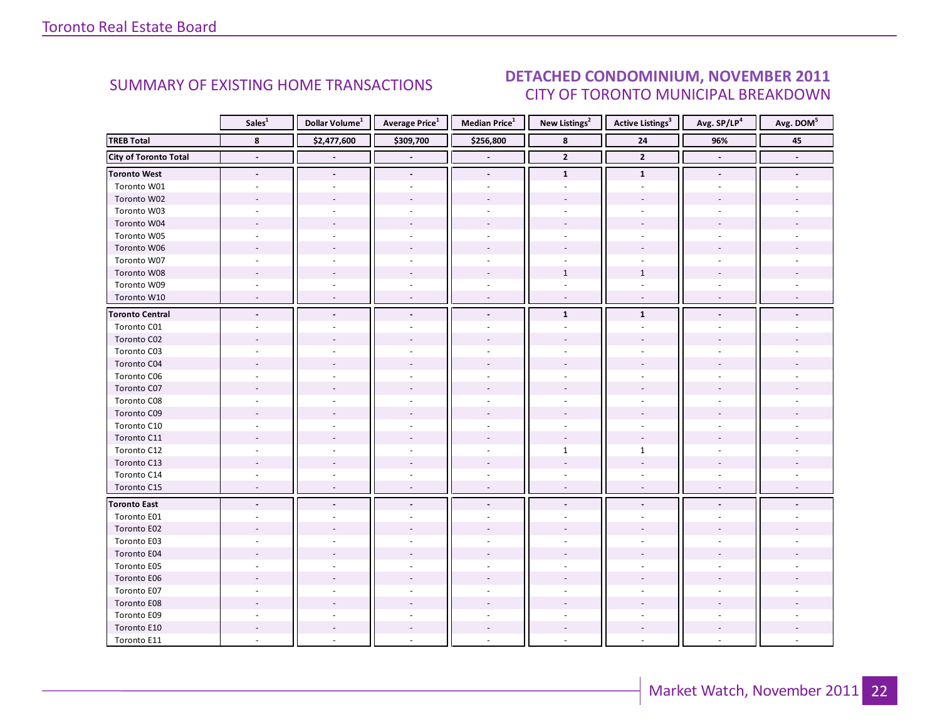#### **DETACHED CONDOMINIUM, NOVEMBER 2011 CITY OF TORONTO MUNICIPAL BREAKDOWN**

<span id="page-21-0"></span>

|                              | Sales <sup>1</sup>       | Dollar Volume <sup>1</sup> | Average Price <sup>1</sup> | <b>Median Price</b> <sup>1</sup> | New Listings <sup>2</sup> | <b>Active Listings</b> <sup>3</sup> | Avg. SP/LP4              | Avg. DOM <sup>5</sup> |
|------------------------------|--------------------------|----------------------------|----------------------------|----------------------------------|---------------------------|-------------------------------------|--------------------------|-----------------------|
| <b>TREB Total</b>            | 8                        | \$2,477,600                | \$309,700                  | \$256,800                        | $\bf8$                    | 24                                  | 96%                      | 45                    |
| <b>City of Toronto Total</b> | $\blacksquare$           |                            |                            |                                  | $\overline{2}$            | $\overline{2}$                      | $\overline{\phantom{a}}$ | $\blacksquare$        |
| <b>Toronto West</b>          | $\overline{\phantom{a}}$ | $\blacksquare$             | $\blacksquare$             | $\blacksquare$                   | $\mathbf{1}$              | $\mathbf{1}$                        |                          |                       |
| Toronto W01                  |                          |                            |                            |                                  |                           |                                     |                          |                       |
| Toronto W02                  |                          |                            |                            |                                  |                           |                                     |                          |                       |
| Toronto W03                  |                          |                            |                            |                                  |                           |                                     |                          |                       |
| Toronto W04                  |                          |                            |                            |                                  |                           |                                     |                          |                       |
| Toronto W05                  |                          |                            |                            |                                  |                           |                                     |                          |                       |
| Toronto W06                  |                          |                            |                            |                                  |                           |                                     |                          |                       |
| Toronto W07                  |                          |                            |                            |                                  |                           |                                     |                          |                       |
| Toronto W08                  |                          |                            |                            |                                  | $\mathbf{1}$              | $\mathbf{1}$                        |                          |                       |
| Toronto W09                  |                          |                            |                            |                                  |                           |                                     |                          |                       |
| Toronto W10                  |                          |                            |                            |                                  |                           |                                     |                          |                       |
| <b>Toronto Central</b>       |                          |                            |                            |                                  | $\mathbf{1}$              | $\mathbf{1}$                        |                          |                       |
| Toronto C01                  |                          |                            |                            |                                  |                           |                                     |                          |                       |
| Toronto C02                  |                          |                            |                            |                                  |                           |                                     |                          |                       |
| Toronto C03                  |                          |                            |                            |                                  |                           |                                     |                          |                       |
| Toronto C04                  |                          |                            |                            |                                  |                           |                                     |                          |                       |
| Toronto C06                  |                          |                            |                            |                                  |                           |                                     |                          |                       |
| Toronto C07                  |                          |                            |                            |                                  |                           |                                     |                          |                       |
| Toronto C08                  |                          |                            |                            |                                  |                           |                                     |                          |                       |
| Toronto C09                  |                          |                            |                            |                                  |                           |                                     |                          |                       |
| Toronto C10                  |                          |                            |                            |                                  |                           |                                     |                          |                       |
| Toronto C11                  |                          |                            |                            |                                  |                           |                                     |                          |                       |
| Toronto C12                  |                          |                            |                            |                                  | $\mathbf{1}$              | $\mathbf{1}$                        |                          |                       |
| Toronto C13                  |                          |                            |                            |                                  |                           |                                     |                          |                       |
| Toronto C14                  |                          |                            |                            |                                  |                           |                                     |                          |                       |
| Toronto C15                  | $\overline{a}$           |                            | $\overline{a}$             | $\sim$                           | $\overline{\phantom{a}}$  | $\sim$                              |                          |                       |
| <b>Toronto East</b>          |                          |                            |                            |                                  |                           |                                     |                          |                       |
| Toronto E01                  |                          |                            |                            |                                  |                           |                                     |                          |                       |
| Toronto E02                  |                          |                            |                            |                                  |                           |                                     |                          |                       |
| Toronto E03                  |                          |                            |                            |                                  |                           |                                     |                          |                       |
| Toronto E04                  |                          |                            |                            |                                  |                           |                                     |                          |                       |
| Toronto E05                  |                          |                            |                            |                                  |                           |                                     |                          |                       |
| Toronto E06                  |                          |                            |                            |                                  |                           |                                     |                          |                       |
| Toronto E07                  |                          |                            |                            |                                  |                           |                                     |                          |                       |
| Toronto E08                  |                          |                            |                            |                                  |                           |                                     |                          |                       |
| Toronto E09                  |                          |                            |                            |                                  |                           |                                     |                          |                       |
| Toronto E10                  |                          |                            |                            |                                  |                           |                                     |                          |                       |
| Toronto E11                  |                          |                            |                            |                                  |                           |                                     |                          |                       |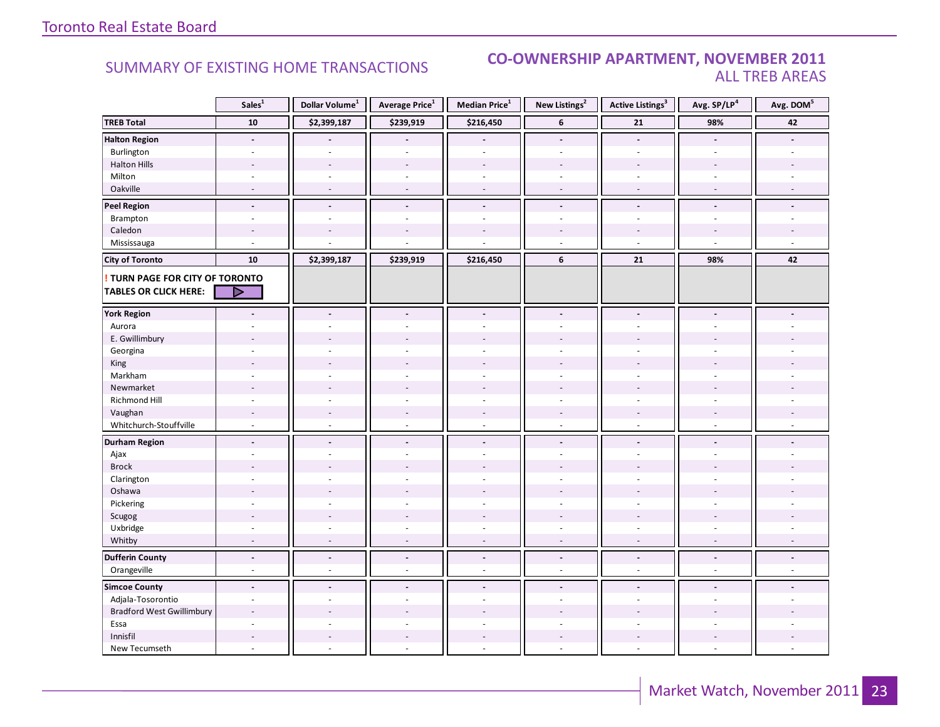#### **CO-OWNERSHIP APARTMENT, NOVEMBER 2011 ALL TREB AREAS**

|                                        | Sales <sup>1</sup>       | Dollar Volume <sup>1</sup> | <b>Average Price</b> <sup>1</sup> | Median Price <sup>1</sup> | New Listings <sup>2</sup> | <b>Active Listings<sup>3</sup></b> | Avg. SP/LP <sup>4</sup> | Avg. DOM <sup>5</sup> |
|----------------------------------------|--------------------------|----------------------------|-----------------------------------|---------------------------|---------------------------|------------------------------------|-------------------------|-----------------------|
| <b>TREB Total</b>                      | ${\bf 10}$               | \$2,399,187                | \$239,919                         | \$216,450                 | 6                         | ${\bf 21}$                         | 98%                     | 42                    |
| <b>Halton Region</b>                   | $\overline{\phantom{a}}$ |                            |                                   |                           | $\overline{\phantom{a}}$  | $\frac{1}{2}$                      |                         |                       |
| Burlington                             | ä,                       | $\overline{a}$             | $\blacksquare$                    | ÷,                        | $\sim$                    | $\overline{\phantom{a}}$           | $\bar{a}$               |                       |
| <b>Halton Hills</b>                    |                          |                            |                                   |                           |                           |                                    |                         |                       |
| Milton                                 |                          |                            |                                   |                           |                           |                                    |                         |                       |
| Oakville                               |                          |                            |                                   | L.                        |                           |                                    |                         |                       |
| <b>Peel Region</b>                     | $\overline{a}$           | $\overline{a}$             | $\overline{a}$                    | $\overline{a}$            |                           | $\overline{a}$                     | $\blacksquare$          |                       |
| Brampton                               | $\sim$                   |                            | $\overline{a}$                    | ٠                         |                           | $\overline{a}$                     |                         |                       |
| Caledon                                |                          |                            |                                   |                           |                           |                                    |                         |                       |
| Mississauga                            | ä,                       |                            |                                   |                           |                           | ä,                                 |                         |                       |
| <b>City of Toronto</b>                 | 10                       | \$2,399,187                | \$239,919                         | \$216,450                 | 6                         | 21                                 | 98%                     | 42                    |
| <b>! TURN PAGE FOR CITY OF TORONTO</b> |                          |                            |                                   |                           |                           |                                    |                         |                       |
| TABLES OR CLICK HERE:                  | D                        |                            |                                   |                           |                           |                                    |                         |                       |
| <b>York Region</b>                     |                          |                            |                                   | ÷.                        |                           |                                    |                         |                       |
| Aurora                                 |                          |                            |                                   |                           |                           |                                    |                         |                       |
| E. Gwillimbury                         |                          |                            |                                   |                           |                           |                                    |                         |                       |
| Georgina                               |                          |                            |                                   |                           |                           |                                    |                         |                       |
| King                                   |                          |                            |                                   |                           |                           |                                    |                         |                       |
| Markham                                | ÷.                       |                            | ÷,                                | $\sim$                    | $\sim$                    | $\overline{a}$                     |                         |                       |
| Newmarket                              |                          |                            |                                   |                           |                           |                                    |                         |                       |
| Richmond Hill                          |                          |                            |                                   |                           |                           |                                    |                         |                       |
| Vaughan                                | $\overline{a}$           |                            | $\overline{a}$                    | $\overline{a}$            |                           |                                    |                         |                       |
| Whitchurch-Stouffville                 | $\overline{a}$           |                            | $\overline{a}$                    | $\overline{a}$            |                           |                                    |                         |                       |
| <b>Durham Region</b>                   | $\overline{a}$           |                            | $\overline{a}$                    | $\overline{a}$            | $\overline{a}$            | $\overline{a}$                     |                         |                       |
| Ajax                                   |                          |                            |                                   |                           |                           |                                    |                         |                       |
| <b>Brock</b>                           |                          |                            |                                   |                           |                           |                                    |                         |                       |
| Clarington                             |                          |                            |                                   |                           |                           |                                    |                         |                       |
| Oshawa                                 |                          |                            |                                   |                           |                           |                                    |                         |                       |
| Pickering                              |                          |                            |                                   | ä,                        |                           |                                    |                         |                       |
| Scugog                                 |                          |                            |                                   |                           |                           |                                    |                         |                       |
| Uxbridge                               |                          |                            |                                   |                           |                           |                                    |                         |                       |
| Whitby                                 | $\blacksquare$           |                            |                                   | ä,                        |                           |                                    |                         |                       |
| <b>Dufferin County</b>                 | $\overline{a}$           | $\sim$                     | $\blacksquare$                    | $\overline{a}$            | $\overline{a}$            | $\overline{a}$                     | $\blacksquare$          |                       |
| Orangeville                            | ÷                        | $\sim$                     | $\sim$                            | $\overline{a}$            | $\sim$                    | ÷.                                 | $\sim$                  |                       |
| <b>Simcoe County</b>                   | $\blacksquare$           |                            | $\overline{a}$                    | ÷.                        | $\sim$                    | $\overline{a}$                     |                         |                       |
| Adjala-Tosorontio                      | ÷.                       |                            |                                   |                           |                           |                                    |                         |                       |
| <b>Bradford West Gwillimbury</b>       |                          |                            |                                   |                           |                           |                                    |                         |                       |
| Essa                                   | ÷.                       |                            |                                   |                           |                           |                                    |                         |                       |
| Innisfil                               |                          |                            |                                   |                           |                           |                                    |                         |                       |
| New Tecumseth                          |                          |                            |                                   |                           |                           | ÷                                  |                         |                       |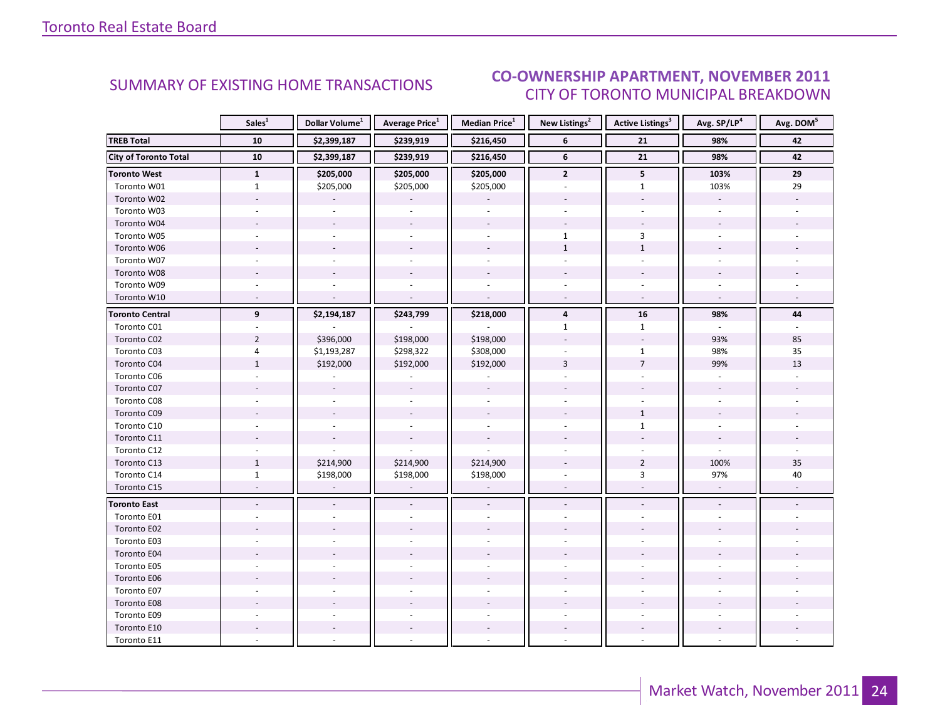#### **CO-OWNERSHIP APARTMENT, NOVEMBER 2011** CITY OF TORONTO MUNICIPAL BREAKDOWN

<span id="page-23-0"></span>

|                              | Sales <sup>1</sup> | Dollar Volume <sup>1</sup> | <b>Average Price</b> <sup>1</sup> | <b>Median Price</b> <sup>1</sup> | New Listings <sup>2</sup> | <b>Active Listings</b> <sup>3</sup> | Avg. SP/LP <sup>4</sup> | Avg. DOM <sup>5</sup> |
|------------------------------|--------------------|----------------------------|-----------------------------------|----------------------------------|---------------------------|-------------------------------------|-------------------------|-----------------------|
| <b>TREB Total</b>            | 10                 | \$2,399,187                | \$239,919                         | \$216,450                        | 6                         | 21                                  | 98%                     | 42                    |
| <b>City of Toronto Total</b> | 10                 | \$2,399,187                | \$239,919                         | \$216,450                        | 6                         | $\overline{21}$                     | 98%                     | 42                    |
| <b>Toronto West</b>          | $\mathbf{1}$       | \$205,000                  | \$205,000                         | \$205,000                        | $\overline{2}$            | 5                                   | 103%                    | 29                    |
| Toronto W01                  | $\mathbf{1}$       | \$205,000                  | \$205,000                         | \$205,000                        |                           | $\mathbf{1}$                        | 103%                    | 29                    |
| Toronto W02                  |                    |                            |                                   |                                  |                           |                                     |                         |                       |
| Toronto W03                  |                    |                            |                                   |                                  |                           |                                     |                         |                       |
| Toronto W04                  |                    |                            |                                   |                                  |                           |                                     |                         |                       |
| Toronto W05                  |                    |                            |                                   |                                  | $\mathbf{1}$              | $\overline{3}$                      |                         |                       |
| Toronto W06                  |                    |                            |                                   |                                  | $\mathbf{1}$              | $\mathbf{1}$                        |                         |                       |
| Toronto W07                  |                    |                            |                                   |                                  |                           |                                     |                         |                       |
| Toronto W08                  |                    |                            |                                   |                                  |                           |                                     |                         |                       |
| Toronto W09                  |                    |                            |                                   |                                  |                           |                                     |                         |                       |
| Toronto W10                  |                    |                            |                                   |                                  |                           | $\overline{a}$                      |                         |                       |
| <b>Toronto Central</b>       | 9                  | \$2,194,187                | \$243,799                         | \$218,000                        | $\overline{\mathbf{4}}$   | 16                                  | 98%                     | 44                    |
| Toronto C01                  |                    |                            |                                   |                                  | $\mathbf{1}$              | $\mathbf{1}$                        |                         |                       |
| Toronto C02                  | $\overline{2}$     | \$396,000                  | \$198,000                         | \$198,000                        |                           | $\sim$                              | 93%                     | 85                    |
| Toronto C03                  | 4                  | \$1,193,287                | \$298,322                         | \$308,000                        |                           | $\mathbf{1}$                        | 98%                     | 35                    |
| Toronto C04                  | $\mathbf{1}$       | \$192,000                  | \$192,000                         | \$192,000                        | 3                         | $\overline{7}$                      | 99%                     | 13                    |
| Toronto C06                  |                    |                            |                                   |                                  |                           |                                     |                         |                       |
| Toronto C07                  |                    |                            |                                   |                                  |                           |                                     |                         |                       |
| Toronto C08                  |                    |                            |                                   |                                  |                           |                                     |                         |                       |
| Toronto C09                  |                    |                            |                                   |                                  |                           | $\mathbf{1}$                        |                         |                       |
| Toronto C10                  |                    |                            |                                   |                                  |                           | $\mathbf{1}$                        |                         |                       |
| Toronto C11                  |                    |                            |                                   |                                  |                           |                                     |                         |                       |
| Toronto C12                  |                    |                            |                                   |                                  |                           |                                     |                         |                       |
| Toronto C13                  | $\mathbf{1}$       | \$214,900                  | \$214,900                         | \$214,900                        |                           | $\overline{2}$                      | 100%                    | $35\,$                |
| Toronto C14                  | $\mathbf{1}$       | \$198,000                  | \$198,000                         | \$198,000                        |                           | $\overline{3}$                      | 97%                     | 40                    |
| Toronto C15                  |                    | $\overline{a}$             |                                   | $\sim$                           | $\overline{\phantom{a}}$  | ÷,                                  | $\omega$                |                       |
| <b>Toronto East</b>          |                    |                            |                                   |                                  |                           |                                     |                         |                       |
| Toronto E01                  |                    |                            |                                   |                                  |                           |                                     |                         |                       |
| Toronto E02                  |                    |                            |                                   |                                  |                           |                                     |                         |                       |
| Toronto E03                  |                    |                            |                                   |                                  |                           |                                     |                         |                       |
| Toronto E04                  |                    |                            |                                   |                                  |                           |                                     |                         |                       |
| Toronto E05                  |                    |                            |                                   |                                  |                           |                                     |                         |                       |
| Toronto E06                  |                    |                            |                                   |                                  |                           |                                     |                         |                       |
| Toronto E07                  |                    |                            |                                   |                                  |                           |                                     |                         |                       |
| Toronto E08                  |                    |                            |                                   |                                  |                           |                                     |                         |                       |
| Toronto E09                  |                    |                            |                                   |                                  |                           |                                     |                         |                       |
| Toronto E10                  |                    |                            |                                   |                                  |                           |                                     |                         |                       |
| Toronto E11                  |                    |                            |                                   |                                  |                           |                                     |                         |                       |